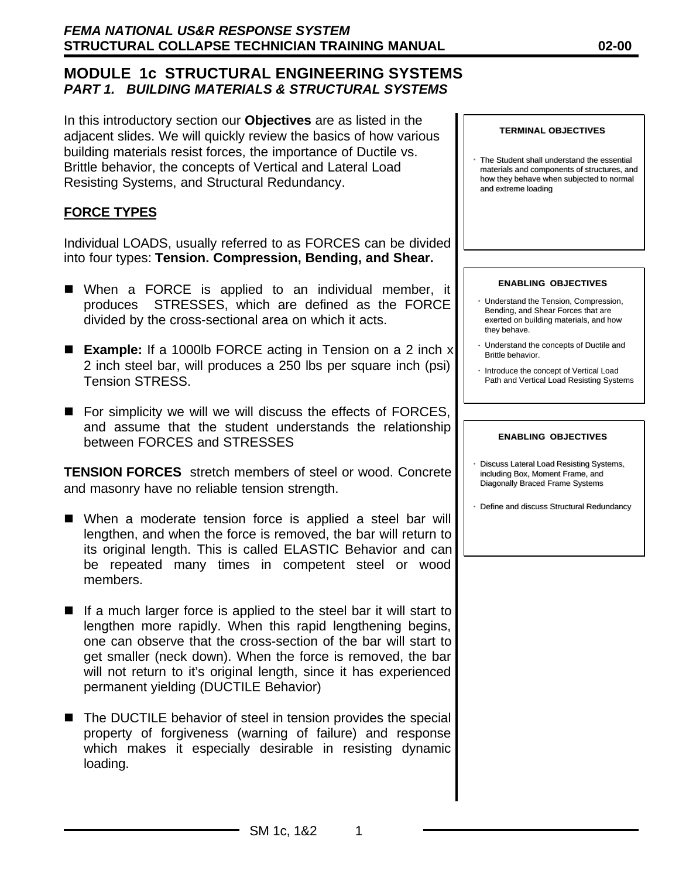In this introductory section our **Objectives** are as listed in the adjacent slides. We will quickly review the basics of how various building materials resist forces, the importance of Ductile vs. Brittle behavior, the concepts of Vertical and Lateral Load Resisting Systems, and Structural Redundancy.

# **FORCE TYPES**

Individual LOADS, usually referred to as FORCES can be divided into four types: **Tension. Compression, Bending, and Shear.**

- When a FORCE is applied to an individual member, it produces STRESSES, which are defined as the FORCE divided by the cross-sectional area on which it acts.
- **Example:** If a 1000lb FORCE acting in Tension on a 2 inch x 2 inch steel bar, will produces a 250 lbs per square inch (psi) Tension STRESS.
- $\blacksquare$  For simplicity we will we will discuss the effects of FORCES, and assume that the student understands the relationship between FORCES and STRESSES

**TENSION FORCES** stretch members of steel or wood. Concrete and masonry have no reliable tension strength.

- When a moderate tension force is applied a steel bar will lengthen, and when the force is removed, the bar will return to its original length. This is called ELASTIC Behavior and can be repeated many times in competent steel or wood members.
- $\blacksquare$  If a much larger force is applied to the steel bar it will start to lengthen more rapidly. When this rapid lengthening begins, one can observe that the cross-section of the bar will start to get smaller (neck down). When the force is removed, the bar will not return to it's original length, since it has experienced permanent yielding (DUCTILE Behavior)
- The DUCTILE behavior of steel in tension provides the special property of forgiveness (warning of failure) and response which makes it especially desirable in resisting dynamic loading.

• The Student shall understand the essential materials and components of structures, and how they behave when subjected to normal and extreme loading

#### **ENABLING OBJECTIVES**

- Understand the Tension, Compression, Bending, and Shear Forces that are exerted on building materials, and how they behave.
- Understand the concepts of Ductile and Brittle behavior.
- Introduce the concept of Vertical Load Path and Vertical Load Resisting Systems

#### **ENABLING OBJECTIVES**

- Discuss Lateral Load Resisting Systems, including Box, Moment Frame, and Diagonally Braced Frame Systems
- Define and discuss Structural Redundancy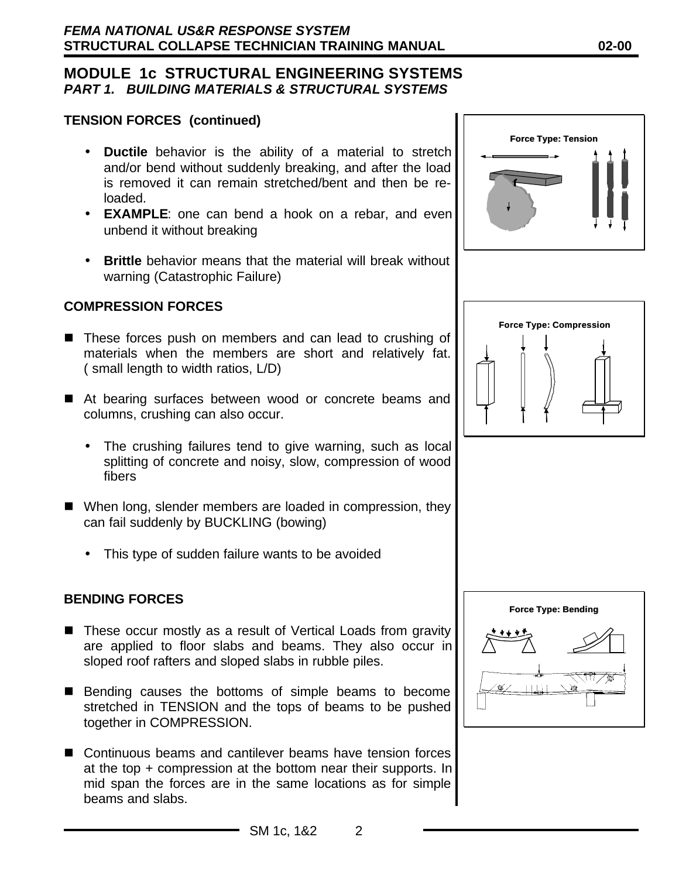## **TENSION FORCES (continued)**

- **Ductile** behavior is the ability of a material to stretch and/or bend without suddenly breaking, and after the load is removed it can remain stretched/bent and then be reloaded.
- **EXAMPLE**: one can bend a hook on a rebar, and even unbend it without breaking
- **Brittle** behavior means that the material will break without warning (Catastrophic Failure)

### **COMPRESSION FORCES**

- These forces push on members and can lead to crushing of materials when the members are short and relatively fat. ( small length to width ratios, L/D)
- At bearing surfaces between wood or concrete beams and columns, crushing can also occur.
	- The crushing failures tend to give warning, such as local splitting of concrete and noisy, slow, compression of wood fibers
- $\blacksquare$  When long, slender members are loaded in compression, they can fail suddenly by BUCKLING (bowing)
	- This type of sudden failure wants to be avoided

#### **BENDING FORCES**

- These occur mostly as a result of Vertical Loads from gravity are applied to floor slabs and beams. They also occur in sloped roof rafters and sloped slabs in rubble piles.
- Bending causes the bottoms of simple beams to become stretched in TENSION and the tops of beams to be pushed together in COMPRESSION.
- $\blacksquare$  Continuous beams and cantilever beams have tension forces at the top + compression at the bottom near their supports. In mid span the forces are in the same locations as for simple beams and slabs.





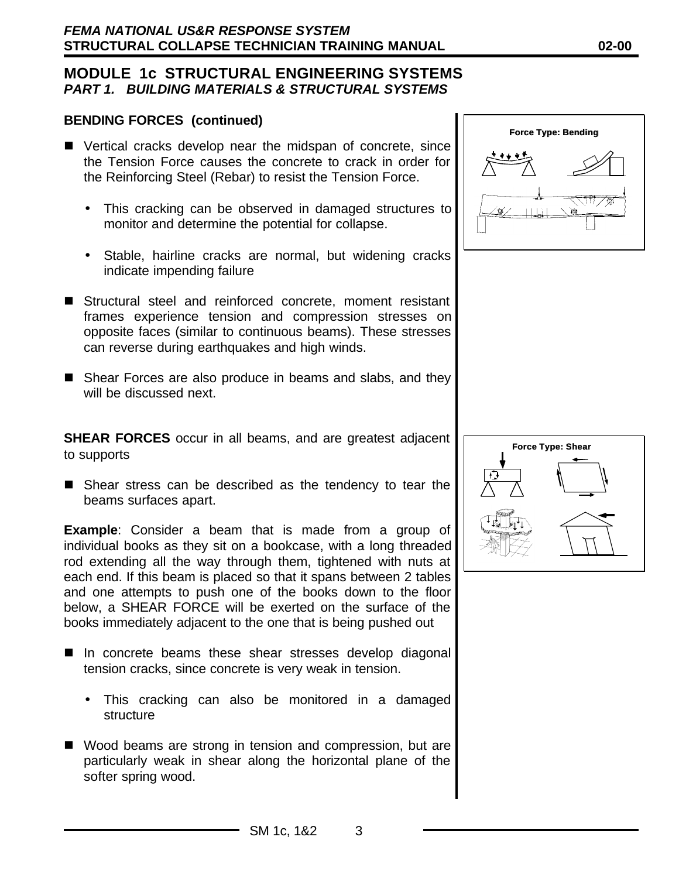#### **BENDING FORCES (continued)**

- Vertical cracks develop near the midspan of concrete, since the Tension Force causes the concrete to crack in order for the Reinforcing Steel (Rebar) to resist the Tension Force.
	- This cracking can be observed in damaged structures to monitor and determine the potential for collapse.
	- Stable, hairline cracks are normal, but widening cracks indicate impending failure
- Structural steel and reinforced concrete, moment resistant frames experience tension and compression stresses on opposite faces (similar to continuous beams). These stresses can reverse during earthquakes and high winds.
- Shear Forces are also produce in beams and slabs, and they will be discussed next.

**SHEAR FORCES** occur in all beams, and are greatest adjacent to supports

 $\blacksquare$  Shear stress can be described as the tendency to tear the beams surfaces apart.

**Example**: Consider a beam that is made from a group of individual books as they sit on a bookcase, with a long threaded rod extending all the way through them, tightened with nuts at each end. If this beam is placed so that it spans between 2 tables and one attempts to push one of the books down to the floor below, a SHEAR FORCE will be exerted on the surface of the books immediately adjacent to the one that is being pushed out

- In concrete beams these shear stresses develop diagonal tension cracks, since concrete is very weak in tension.
	- This cracking can also be monitored in a damaged structure
- Wood beams are strong in tension and compression, but are particularly weak in shear along the horizontal plane of the softer spring wood.



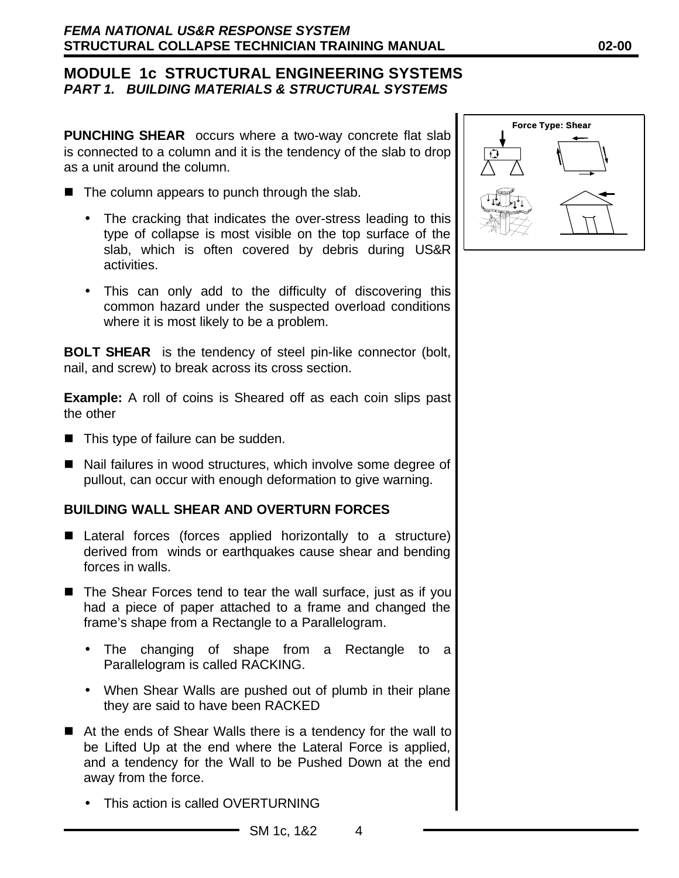**PUNCHING SHEAR** occurs where a two-way concrete flat slab is connected to a column and it is the tendency of the slab to drop as a unit around the column.

- $\blacksquare$  The column appears to punch through the slab.
	- The cracking that indicates the over-stress leading to this type of collapse is most visible on the top surface of the slab, which is often covered by debris during US&R activities.
	- This can only add to the difficulty of discovering this common hazard under the suspected overload conditions where it is most likely to be a problem.

**BOLT SHEAR** is the tendency of steel pin-like connector (bolt, nail, and screw) to break across its cross section.

**Example:** A roll of coins is Sheared off as each coin slips past the other

- $\blacksquare$  This type of failure can be sudden.
- Nail failures in wood structures, which involve some degree of pullout, can occur with enough deformation to give warning.

#### **BUILDING WALL SHEAR AND OVERTURN FORCES**

- Lateral forces (forces applied horizontally to a structure) derived from winds or earthquakes cause shear and bending forces in walls.
- $\blacksquare$  The Shear Forces tend to tear the wall surface, just as if you had a piece of paper attached to a frame and changed the frame's shape from a Rectangle to a Parallelogram.
	- The changing of shape from a Rectangle to a Parallelogram is called RACKING.
	- When Shear Walls are pushed out of plumb in their plane they are said to have been RACKED
- $\blacksquare$  At the ends of Shear Walls there is a tendency for the wall to be Lifted Up at the end where the Lateral Force is applied, and a tendency for the Wall to be Pushed Down at the end away from the force.
	- This action is called OVERTURNING

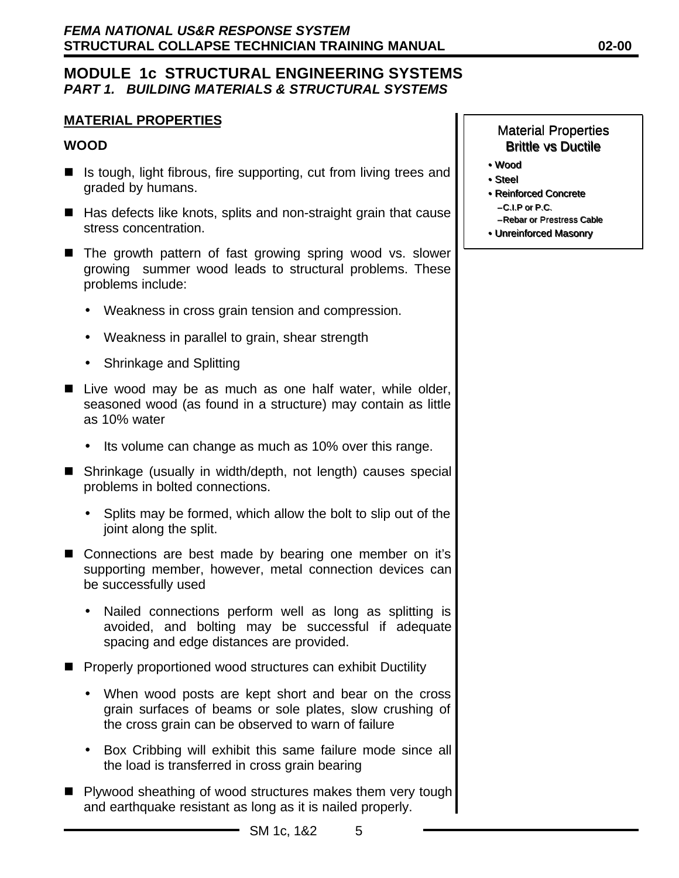## **MATERIAL PROPERTIES**

### **WOOD**

- $\blacksquare$  Is tough, light fibrous, fire supporting, cut from living trees and graded by humans.
- $\blacksquare$  Has defects like knots, splits and non-straight grain that cause stress concentration.
- The growth pattern of fast growing spring wood vs. slower growing summer wood leads to structural problems. These problems include:
	- Weakness in cross grain tension and compression.
	- Weakness in parallel to grain, shear strength
	- Shrinkage and Splitting
- Live wood may be as much as one half water, while older, seasoned wood (as found in a structure) may contain as little as 10% water
	- Its volume can change as much as 10% over this range.
- Shrinkage (usually in width/depth, not length) causes special problems in bolted connections.
	- Splits may be formed, which allow the bolt to slip out of the joint along the split.
- Connections are best made by bearing one member on it's supporting member, however, metal connection devices can be successfully used
	- Nailed connections perform well as long as splitting is avoided, and bolting may be successful if adequate spacing and edge distances are provided.
- Properly proportioned wood structures can exhibit Ductility
	- When wood posts are kept short and bear on the cross grain surfaces of beams or sole plates, slow crushing of the cross grain can be observed to warn of failure
	- Box Cribbing will exhibit this same failure mode since all the load is transferred in cross grain bearing
- Plywood sheathing of wood structures makes them very tough and earthquake resistant as long as it is nailed properly.
- Wood •Wood
- Steel Steel
- Reinforced Concrete •Reinforced Concrete –C.I.P or P.C. –C.I.P or P.C.
	- –Rebar or Prestress Cable –Rebar or Prestress Cable
- Unreinforced Masonry •Unreinforced Masonry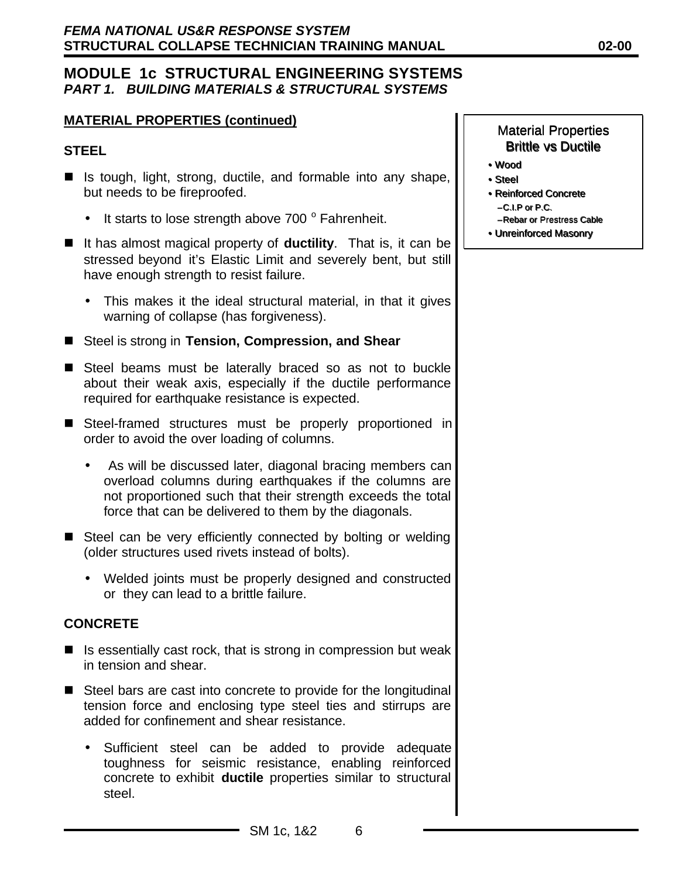### **MATERIAL PROPERTIES (continued)**

#### **STEEL**

- $\blacksquare$  Is tough, light, strong, ductile, and formable into any shape, but needs to be fireproofed.
	- $\bullet$  It starts to lose strength above 700  $\degree$  Fahrenheit.
- It has almost magical property of **ductility**. That is, it can be stressed beyond it's Elastic Limit and severely bent, but still have enough strength to resist failure.
	- This makes it the ideal structural material, in that it gives warning of collapse (has forgiveness).
- Steel is strong in **Tension, Compression, and Shear**
- Steel beams must be laterally braced so as not to buckle about their weak axis, especially if the ductile performance required for earthquake resistance is expected.
- Steel-framed structures must be properly proportioned in order to avoid the over loading of columns.
	- As will be discussed later, diagonal bracing members can overload columns during earthquakes if the columns are not proportioned such that their strength exceeds the total force that can be delivered to them by the diagonals.
- Steel can be very efficiently connected by bolting or welding (older structures used rivets instead of bolts).
	- Welded joints must be properly designed and constructed or they can lead to a brittle failure.

## **CONCRETE**

- $\blacksquare$  Is essentially cast rock, that is strong in compression but weak in tension and shear.
- $\blacksquare$  Steel bars are cast into concrete to provide for the longitudinal tension force and enclosing type steel ties and stirrups are added for confinement and shear resistance.
	- Sufficient steel can be added to provide adequate toughness for seismic resistance, enabling reinforced concrete to exhibit **ductile** properties similar to structural steel.

- Wood •Wood
- Steel Steel
- Reinforced Concrete •Reinforced Concrete –C.I.P or P.C. –C.I.P or P.C.
	- –Rebar or Prestress Cable –Rebar or Prestress Cable
- Unreinforced Masonry •Unreinforced Masonry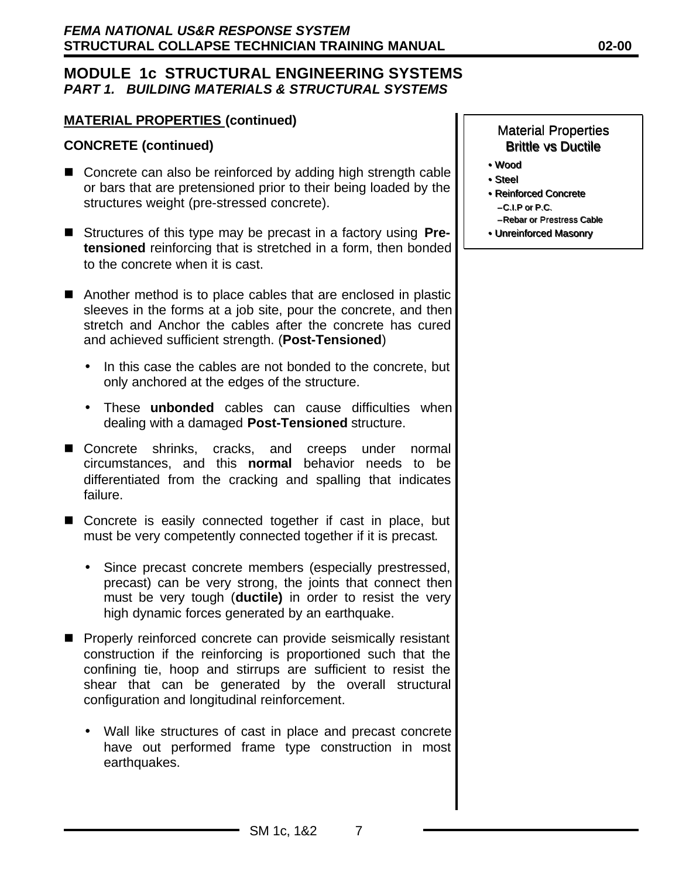### **MATERIAL PROPERTIES (continued)**

#### **CONCRETE (continued)**

- $\blacksquare$  Concrete can also be reinforced by adding high strength cable or bars that are pretensioned prior to their being loaded by the structures weight (pre-stressed concrete).
- Structures of this type may be precast in a factory using **Pretensioned** reinforcing that is stretched in a form, then bonded to the concrete when it is cast.
- $\blacksquare$  Another method is to place cables that are enclosed in plastic sleeves in the forms at a job site, pour the concrete, and then stretch and Anchor the cables after the concrete has cured and achieved sufficient strength. (**Post-Tensioned**)
	- In this case the cables are not bonded to the concrete, but only anchored at the edges of the structure.
	- These **unbonded** cables can cause difficulties when dealing with a damaged **Post-Tensioned** structure.
- Concrete shrinks, cracks, and creeps under normal circumstances, and this **normal** behavior needs to be differentiated from the cracking and spalling that indicates failure.
- Concrete is easily connected together if cast in place, but must be very competently connected together if it is precast.
	- Since precast concrete members (especially prestressed, precast) can be very strong, the joints that connect then must be very tough (**ductile)** in order to resist the very high dynamic forces generated by an earthquake.
- **n** Properly reinforced concrete can provide seismically resistant construction if the reinforcing is proportioned such that the confining tie, hoop and stirrups are sufficient to resist the shear that can be generated by the overall structural configuration and longitudinal reinforcement.
	- Wall like structures of cast in place and precast concrete have out performed frame type construction in most earthquakes.

- Wood •Wood
- Steel Steel
- Reinforced Concrete •Reinforced Concrete –C.I.P or P.C. –C.I.P or P.C.
	- –Rebar or Prestress Cable –Rebar or Prestress Cable
- Unreinforced Masonry •Unreinforced Masonry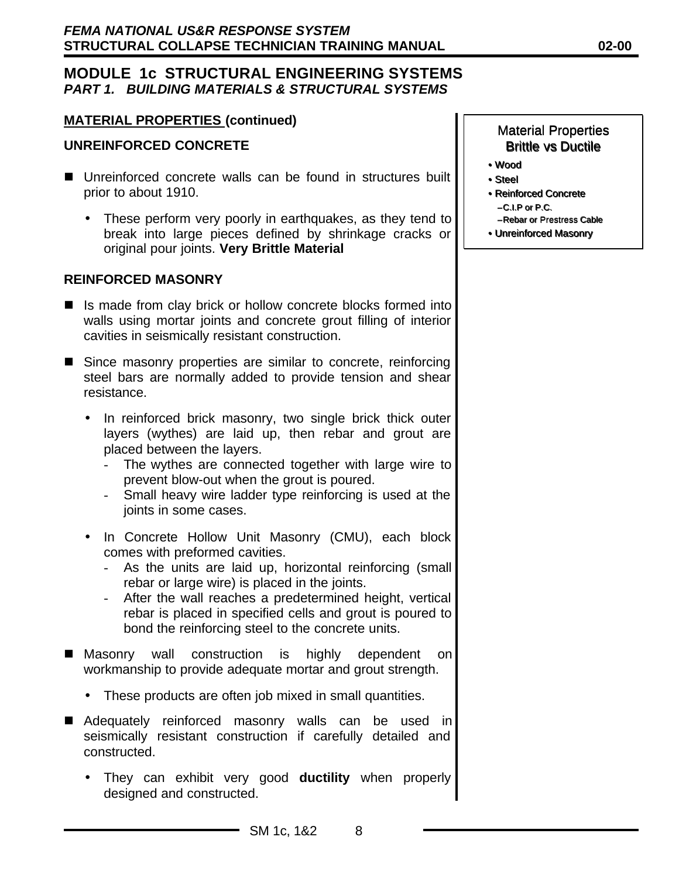#### **MATERIAL PROPERTIES (continued)**

### **UNREINFORCED CONCRETE**

- Unreinforced concrete walls can be found in structures built prior to about 1910.
	- These perform very poorly in earthquakes, as they tend to break into large pieces defined by shrinkage cracks or original pour joints. **Very Brittle Material**

#### **REINFORCED MASONRY**

- $\blacksquare$  Is made from clay brick or hollow concrete blocks formed into walls using mortar joints and concrete grout filling of interior cavities in seismically resistant construction.
- Since masonry properties are similar to concrete, reinforcing steel bars are normally added to provide tension and shear resistance.
	- In reinforced brick masonry, two single brick thick outer layers (wythes) are laid up, then rebar and grout are placed between the layers.
		- The wythes are connected together with large wire to prevent blow-out when the grout is poured.
		- Small heavy wire ladder type reinforcing is used at the joints in some cases.
	- In Concrete Hollow Unit Masonry (CMU), each block comes with preformed cavities.
		- As the units are laid up, horizontal reinforcing (small rebar or large wire) is placed in the joints.
		- After the wall reaches a predetermined height, vertical rebar is placed in specified cells and grout is poured to bond the reinforcing steel to the concrete units.
- Masonry wall construction is highly dependent on workmanship to provide adequate mortar and grout strength.
	- These products are often job mixed in small quantities.
- Adequately reinforced masonry walls can be used in seismically resistant construction if carefully detailed and constructed.
	- They can exhibit very good **ductility** when properly designed and constructed.

- Wood •Wood
- Steel Steel
- Reinforced Concrete •Reinforced Concrete –C.I.P or P.C. –C.I.P or P.C.
	- –Rebar or Prestress Cable –Rebar or Prestress Cable
- Unreinforced Masonry •Unreinforced Masonry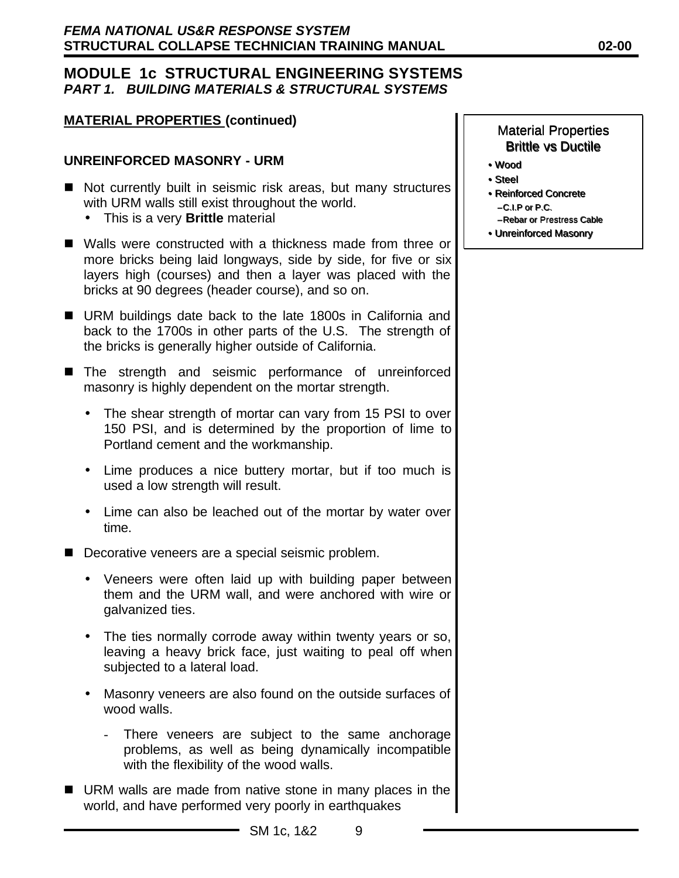## **MATERIAL PROPERTIES (continued)**

#### **UNREINFORCED MASONRY - URM**

- Not currently built in seismic risk areas, but many structures with URM walls still exist throughout the world.
	- This is a very **Brittle** material
- Walls were constructed with a thickness made from three or more bricks being laid longways, side by side, for five or six layers high (courses) and then a layer was placed with the bricks at 90 degrees (header course), and so on.
- URM buildings date back to the late 1800s in California and back to the 1700s in other parts of the U.S. The strength of the bricks is generally higher outside of California.
- The strength and seismic performance of unreinforced masonry is highly dependent on the mortar strength.
	- The shear strength of mortar can vary from 15 PSI to over 150 PSI, and is determined by the proportion of lime to Portland cement and the workmanship.
	- Lime produces a nice buttery mortar, but if too much is used a low strength will result.
	- Lime can also be leached out of the mortar by water over time.
- $\blacksquare$  Decorative veneers are a special seismic problem.
	- Veneers were often laid up with building paper between them and the URM wall, and were anchored with wire or galvanized ties.
	- The ties normally corrode away within twenty years or so, leaving a heavy brick face, just waiting to peal off when subjected to a lateral load.
	- Masonry veneers are also found on the outside surfaces of wood walls.
		- There veneers are subject to the same anchorage problems, as well as being dynamically incompatible with the flexibility of the wood walls.
- URM walls are made from native stone in many places in the world, and have performed very poorly in earthquakes

- Wood •Wood
- Steel Steel
- Reinforced Concrete •Reinforced Concrete –C.I.P or P.C. –C.I.P or P.C.
	- –Rebar or Prestress Cable –Rebar or Prestress Cable
- Unreinforced Masonry •Unreinforced Masonry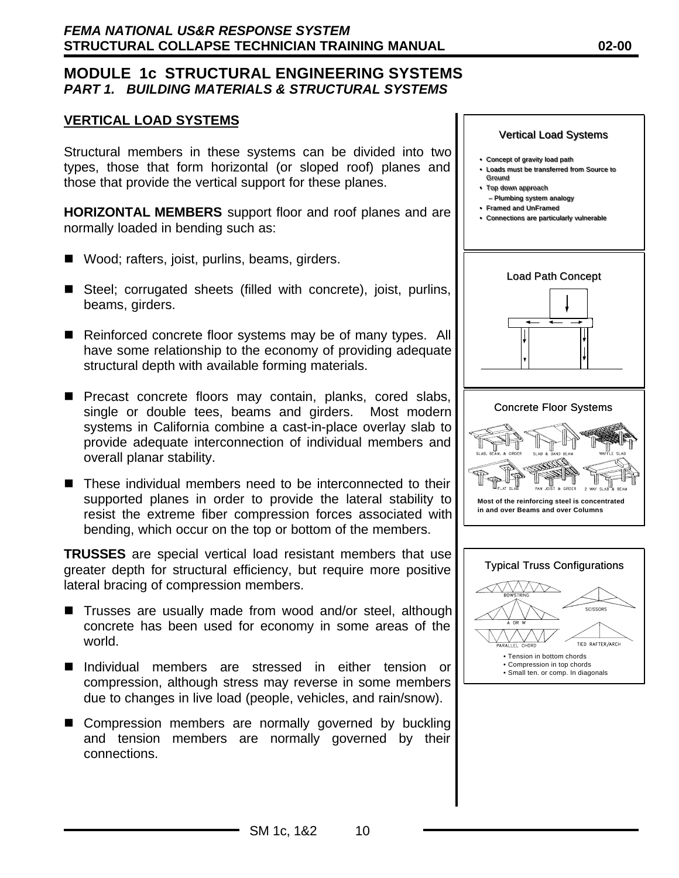#### **VERTICAL LOAD SYSTEMS**

Structural members in these systems can be divided into two types, those that form horizontal (or sloped roof) planes and those that provide the vertical support for these planes.

**HORIZONTAL MEMBERS** support floor and roof planes and are normally loaded in bending such as:

- $\blacksquare$  Wood; rafters, joist, purlins, beams, girders.
- $\blacksquare$  Steel; corrugated sheets (filled with concrete), joist, purlins, beams, girders.
- Reinforced concrete floor systems may be of many types. All have some relationship to the economy of providing adequate structural depth with available forming materials.
- **Pecast concrete floors may contain, planks, cored slabs,** single or double tees, beams and girders. Most modern systems in California combine a cast-in-place overlay slab to provide adequate interconnection of individual members and overall planar stability.
- $\blacksquare$  These individual members need to be interconnected to their supported planes in order to provide the lateral stability to resist the extreme fiber compression forces associated with bending, which occur on the top or bottom of the members.

**TRUSSES** are special vertical load resistant members that use greater depth for structural efficiency, but require more positive lateral bracing of compression members.

- Trusses are usually made from wood and/or steel, although concrete has been used for economy in some areas of the world.
- n Individual members are stressed in either tension or compression, although stress may reverse in some members due to changes in live load (people, vehicles, and rain/snow).
- Compression members are normally governed by buckling and tension members are normally governed by their connections.

#### Vertical Load Systems

- Concept of gravity load path gravity load path
- **Loads must be transferred from Source to** Ground Ground
- Top down approach Top down approach
- Plumbing system analogy
- Framed and UnFramed Framed and UnFramed • Connections are particularly vulnerable Connections are particularly vulnerable





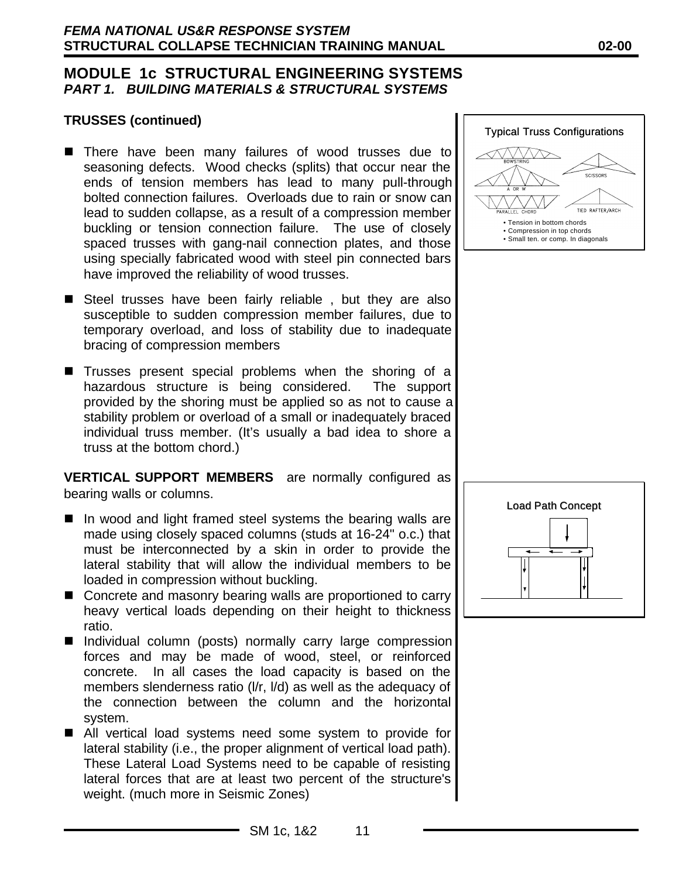#### **TRUSSES (continued)**

- There have been many failures of wood trusses due to seasoning defects. Wood checks (splits) that occur near the ends of tension members has lead to many pull-through bolted connection failures. Overloads due to rain or snow can lead to sudden collapse, as a result of a compression member buckling or tension connection failure. The use of closely spaced trusses with gang-nail connection plates, and those using specially fabricated wood with steel pin connected bars have improved the reliability of wood trusses.
- $\blacksquare$  Steel trusses have been fairly reliable, but they are also susceptible to sudden compression member failures, due to temporary overload, and loss of stability due to inadequate bracing of compression members
- $\blacksquare$  Trusses present special problems when the shoring of a hazardous structure is being considered. The support provided by the shoring must be applied so as not to cause a stability problem or overload of a small or inadequately braced individual truss member. (It's usually a bad idea to shore a truss at the bottom chord.)

**VERTICAL SUPPORT MEMBERS** are normally configured as bearing walls or columns.

- $\blacksquare$  In wood and light framed steel systems the bearing walls are made using closely spaced columns (studs at 16-24" o.c.) that must be interconnected by a skin in order to provide the lateral stability that will allow the individual members to be loaded in compression without buckling.
- Concrete and masonry bearing walls are proportioned to carry heavy vertical loads depending on their height to thickness ratio.
- Individual column (posts) normally carry large compression forces and may be made of wood, steel, or reinforced concrete. In all cases the load capacity is based on the members slenderness ratio (l/r, l/d) as well as the adequacy of the connection between the column and the horizontal system.
- All vertical load systems need some system to provide for lateral stability (i.e., the proper alignment of vertical load path). These Lateral Load Systems need to be capable of resisting lateral forces that are at least two percent of the structure's weight. (much more in Seismic Zones)





#### SM 1c, 1&2 11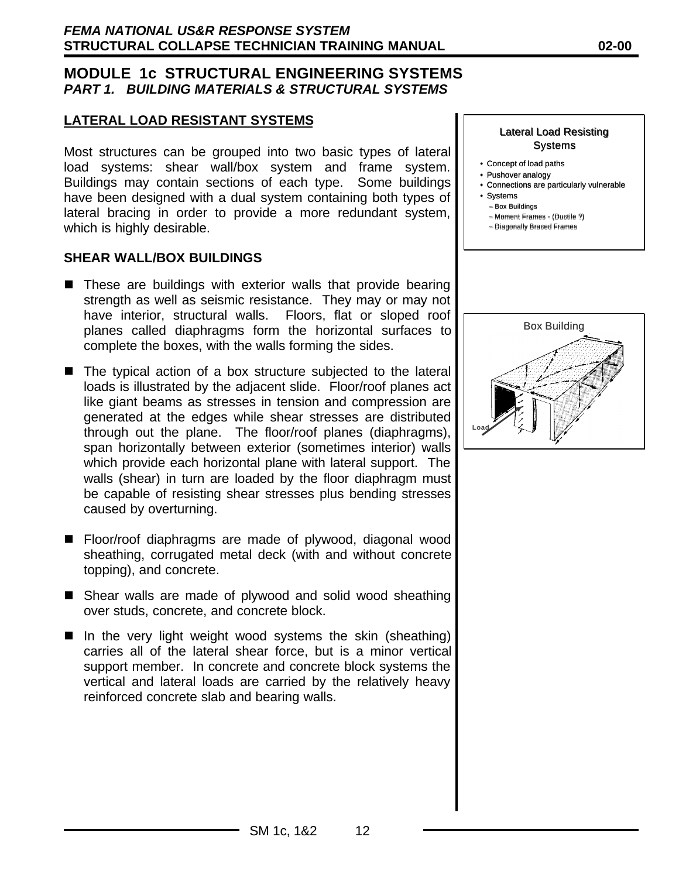#### **LATERAL LOAD RESISTANT SYSTEMS**

Most structures can be grouped into two basic types of lateral load systems: shear wall/box system and frame system. Buildings may contain sections of each type. Some buildings have been designed with a dual system containing both types of lateral bracing in order to provide a more redundant system, which is highly desirable.

#### **SHEAR WALL/BOX BUILDINGS**

- $\blacksquare$  These are buildings with exterior walls that provide bearing strength as well as seismic resistance. They may or may not have interior, structural walls. Floors, flat or sloped roof planes called diaphragms form the horizontal surfaces to complete the boxes, with the walls forming the sides.
- $\blacksquare$  The typical action of a box structure subjected to the lateral loads is illustrated by the adjacent slide. Floor/roof planes act like giant beams as stresses in tension and compression are generated at the edges while shear stresses are distributed through out the plane. The floor/roof planes (diaphragms), span horizontally between exterior (sometimes interior) walls which provide each horizontal plane with lateral support. The walls (shear) in turn are loaded by the floor diaphragm must be capable of resisting shear stresses plus bending stresses caused by overturning.
- Floor/roof diaphragms are made of plywood, diagonal wood sheathing, corrugated metal deck (with and without concrete topping), and concrete.
- Shear walls are made of plywood and solid wood sheathing over studs, concrete, and concrete block.
- $\blacksquare$  In the very light weight wood systems the skin (sheathing) carries all of the lateral shear force, but is a minor vertical support member. In concrete and concrete block systems the vertical and lateral loads are carried by the relatively heavy reinforced concrete slab and bearing walls.

#### Lateral Load Resisting **Systems**

- Concept of load paths
- Pushover analogy Pushover analogy
- Connections are particularly vulnerable Connections are particularly vulnerable
- Systems
- Box Buildings Box Buildings
- Moment Frames (Ductile ?) Moment Frames (Ductile ?)
- Diagonally Braced Frames Diagonally Braced Frames

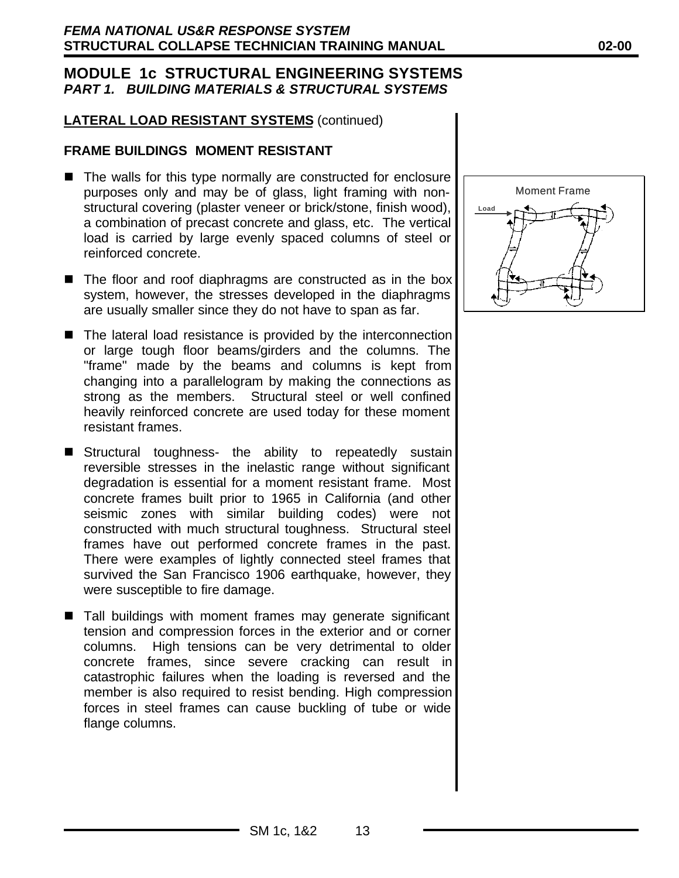### **LATERAL LOAD RESISTANT SYSTEMS** (continued)

#### **FRAME BUILDINGS MOMENT RESISTANT**

- The walls for this type normally are constructed for enclosure purposes only and may be of glass, light framing with nonstructural covering (plaster veneer or brick/stone, finish wood), a combination of precast concrete and glass, etc. The vertical load is carried by large evenly spaced columns of steel or reinforced concrete.
- The floor and roof diaphragms are constructed as in the box system, however, the stresses developed in the diaphragms are usually smaller since they do not have to span as far.
- $\blacksquare$  The lateral load resistance is provided by the interconnection or large tough floor beams/girders and the columns. The "frame" made by the beams and columns is kept from changing into a parallelogram by making the connections as strong as the members. Structural steel or well confined heavily reinforced concrete are used today for these moment resistant frames.
- **E** Structural toughness- the ability to repeatedly sustain reversible stresses in the inelastic range without significant degradation is essential for a moment resistant frame. Most concrete frames built prior to 1965 in California (and other seismic zones with similar building codes) were not constructed with much structural toughness. Structural steel frames have out performed concrete frames in the past. There were examples of lightly connected steel frames that survived the San Francisco 1906 earthquake, however, they were susceptible to fire damage.
- $\blacksquare$  Tall buildings with moment frames may generate significant tension and compression forces in the exterior and or corner columns. High tensions can be very detrimental to older concrete frames, since severe cracking can result in catastrophic failures when the loading is reversed and the member is also required to resist bending. High compression forces in steel frames can cause buckling of tube or wide flange columns.

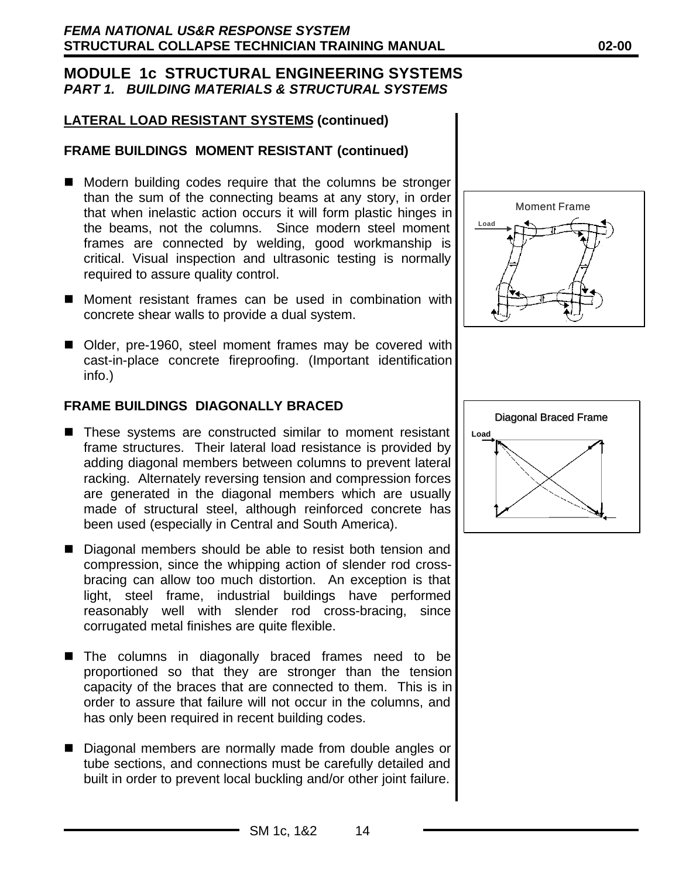## **LATERAL LOAD RESISTANT SYSTEMS (continued)**

### **FRAME BUILDINGS MOMENT RESISTANT (continued)**

- Modern building codes require that the columns be stronger than the sum of the connecting beams at any story, in order that when inelastic action occurs it will form plastic hinges in the beams, not the columns. Since modern steel moment frames are connected by welding, good workmanship is critical. Visual inspection and ultrasonic testing is normally required to assure quality control.
- Moment resistant frames can be used in combination with concrete shear walls to provide a dual system.
- Older, pre-1960, steel moment frames may be covered with cast-in-place concrete fireproofing. (Important identification info.)

#### **FRAME BUILDINGS DIAGONALLY BRACED**

- These systems are constructed similar to moment resistant frame structures. Their lateral load resistance is provided by adding diagonal members between columns to prevent lateral racking. Alternately reversing tension and compression forces are generated in the diagonal members which are usually made of structural steel, although reinforced concrete has been used (especially in Central and South America).
- Diagonal members should be able to resist both tension and compression, since the whipping action of slender rod crossbracing can allow too much distortion. An exception is that light, steel frame, industrial buildings have performed reasonably well with slender rod cross-bracing, since corrugated metal finishes are quite flexible.
- The columns in diagonally braced frames need to be proportioned so that they are stronger than the tension capacity of the braces that are connected to them. This is in order to assure that failure will not occur in the columns, and has only been required in recent building codes.
- Diagonal members are normally made from double angles or tube sections, and connections must be carefully detailed and built in order to prevent local buckling and/or other joint failure.



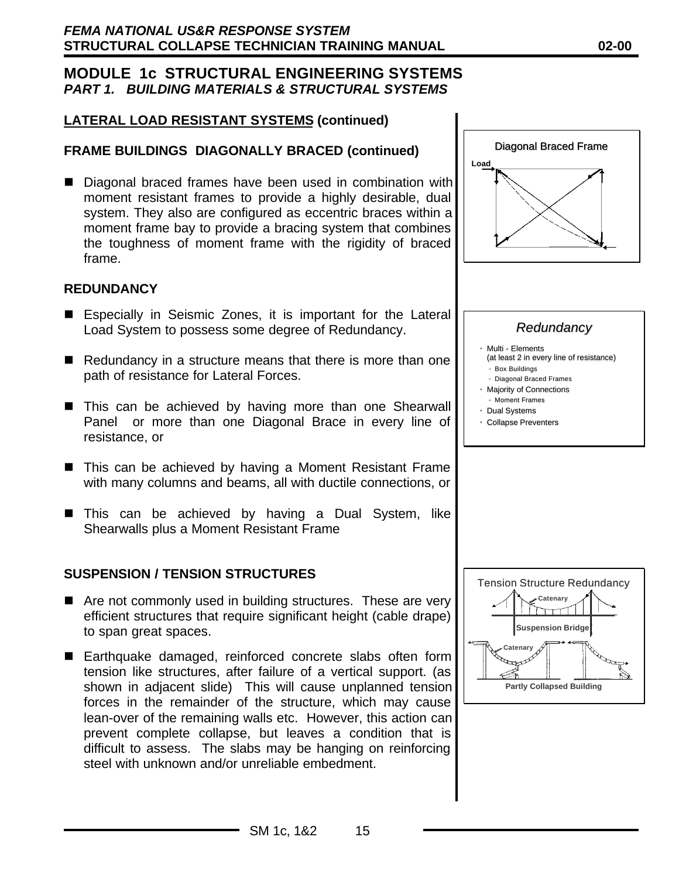# **LATERAL LOAD RESISTANT SYSTEMS (continued)**

# **FRAME BUILDINGS DIAGONALLY BRACED (continued)**

■ Diagonal braced frames have been used in combination with moment resistant frames to provide a highly desirable, dual system. They also are configured as eccentric braces within a moment frame bay to provide a bracing system that combines the toughness of moment frame with the rigidity of braced frame.

#### **REDUNDANCY**

- Especially in Seismic Zones, it is important for the Lateral Load System to possess some degree of Redundancy.
- $\blacksquare$  Redundancy in a structure means that there is more than one path of resistance for Lateral Forces.
- This can be achieved by having more than one Shearwall Panel or more than one Diagonal Brace in every line of resistance, or
- This can be achieved by having a Moment Resistant Frame with many columns and beams, all with ductile connections, or
- This can be achieved by having a Dual System, like Shearwalls plus a Moment Resistant Frame

## **SUSPENSION / TENSION STRUCTURES**

- $\blacksquare$  Are not commonly used in building structures. These are very efficient structures that require significant height (cable drape) to span great spaces.
- Earthquake damaged, reinforced concrete slabs often form tension like structures, after failure of a vertical support. (as shown in adjacent slide) This will cause unplanned tension forces in the remainder of the structure, which may cause lean-over of the remaining walls etc. However, this action can prevent complete collapse, but leaves a condition that is difficult to assess. The slabs may be hanging on reinforcing steel with unknown and/or unreliable embedment.



# *Redundancy*

- Multi Elements Multi Elements
- (at least 2 in every line of resistance) – Box Buildings –
- Diagonal Braced Frames –
- Majority of Connections Majority of Connections
- Moment Frames ––
- Dual Systems • Collapse Preventers

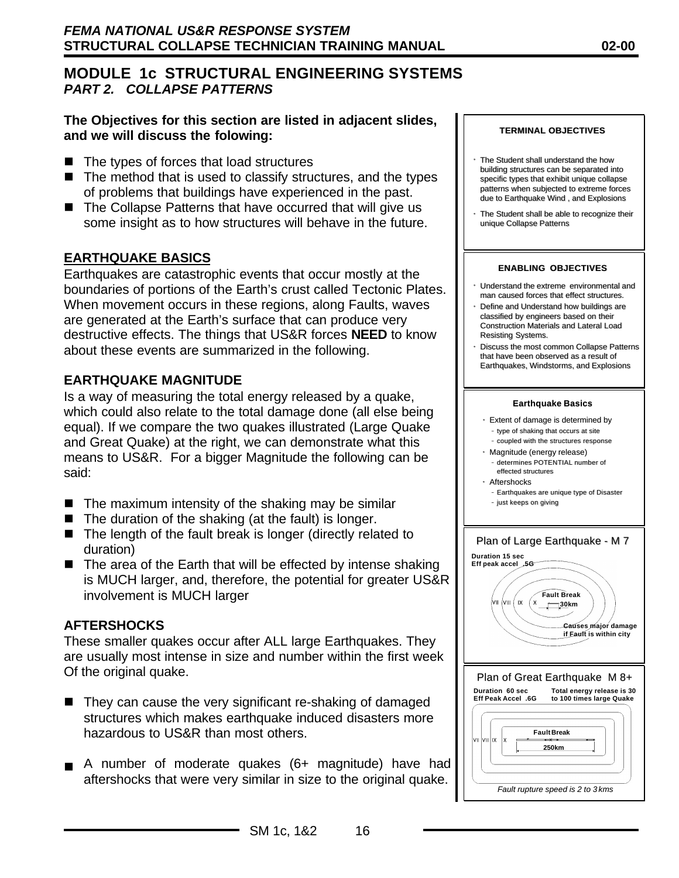## **The Objectives for this section are listed in adjacent slides, and we will discuss the folowing:**

- $\blacksquare$  The types of forces that load structures
- $\blacksquare$  The method that is used to classify structures, and the types of problems that buildings have experienced in the past.
- $\blacksquare$  The Collapse Patterns that have occurred that will give us some insight as to how structures will behave in the future.

# **EARTHQUAKE BASICS**

Earthquakes are catastrophic events that occur mostly at the boundaries of portions of the Earth's crust called Tectonic Plates. When movement occurs in these regions, along Faults, waves are generated at the Earth's surface that can produce very destructive effects. The things that US&R forces **NEED** to know about these events are summarized in the following.

### **EARTHQUAKE MAGNITUDE**

Is a way of measuring the total energy released by a quake, which could also relate to the total damage done (all else being equal). If we compare the two quakes illustrated (Large Quake and Great Quake) at the right, we can demonstrate what this means to US&R. For a bigger Magnitude the following can be said:

- $\blacksquare$  The maximum intensity of the shaking may be similar
- $\blacksquare$  The duration of the shaking (at the fault) is longer.
- $\blacksquare$  The length of the fault break is longer (directly related to duration)
- $\blacksquare$  The area of the Earth that will be effected by intense shaking is MUCH larger, and, therefore, the potential for greater US&R involvement is MUCH larger

#### **AFTERSHOCKS**

These smaller quakes occur after ALL large Earthquakes. They are usually most intense in size and number within the first week Of the original quake.

- They can cause the very significant re-shaking of damaged structures which makes earthquake induced disasters more hazardous to US&R than most others.
- $\blacksquare$  A number of moderate quakes (6+ magnitude) have had aftershocks that were very similar in size to the original quake.



- The Student shall understand the how building structures can be separated into specific types that exhibit unique collapse patterns when subjected to extreme forces due to Earthquake Wind , and Explosions
- The Student shall be able to recognize their unique Collapse Patterns

#### **ENABLING OBJECTIVES**

- Understand the extreme environmental and man caused forces that effect structures.
- Define and Understand how buildings are classified by engineers based on their Construction Materials and Lateral Load Resisting Systems.
- Discuss the most common Collapse Patterns that have been observed as a result of Earthquakes, Windstorms, and Explosions

#### **Earthquake Basics**

- Extent of damage is determined by – type of shaking that occurs at site – coupled with the structures response
- 
- Magnitude (energy release) – determines POTENTIAL number of effected structures
- Aftershocks
	- Earthquakes are unique type of Disaster
- –– just keeps on giving

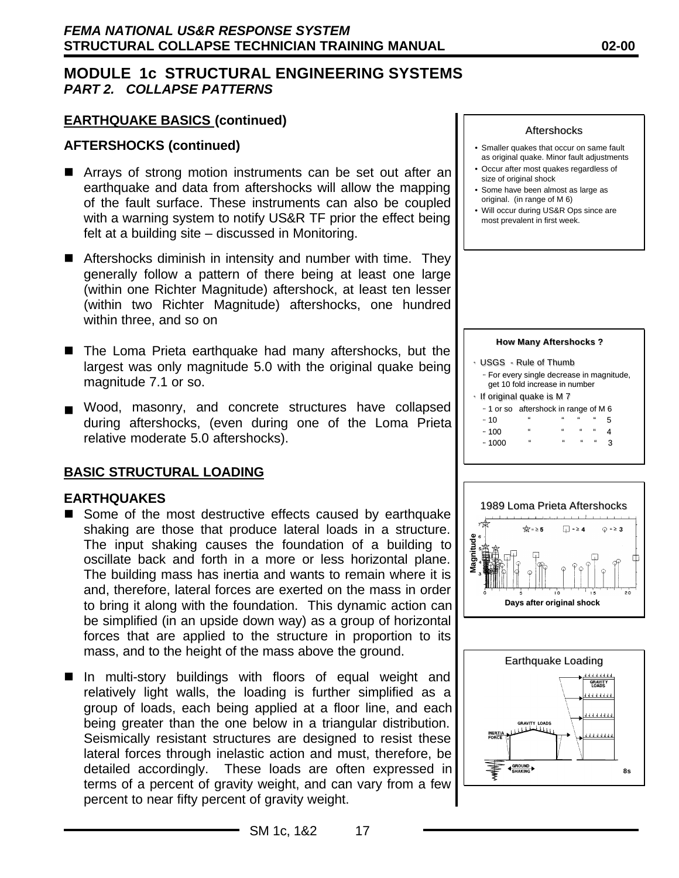### **EARTHQUAKE BASICS (continued)**

#### **AFTERSHOCKS (continued)**

- Arrays of strong motion instruments can be set out after an earthquake and data from aftershocks will allow the mapping of the fault surface. These instruments can also be coupled with a warning system to notify US&R TF prior the effect being felt at a building site – discussed in Monitoring.
- $\blacksquare$  Aftershocks diminish in intensity and number with time. They generally follow a pattern of there being at least one large (within one Richter Magnitude) aftershock, at least ten lesser (within two Richter Magnitude) aftershocks, one hundred within three, and so on
- The Loma Prieta earthquake had many aftershocks, but the largest was only magnitude 5.0 with the original quake being magnitude 7.1 or so.
- n Wood, masonry, and concrete structures have collapsed during aftershocks, (even during one of the Loma Prieta relative moderate 5.0 aftershocks).

#### **BASIC STRUCTURAL LOADING**

#### **EARTHQUAKES**

- Some of the most destructive effects caused by earthquake shaking are those that produce lateral loads in a structure. The input shaking causes the foundation of a building to oscillate back and forth in a more or less horizontal plane. The building mass has inertia and wants to remain where it is and, therefore, lateral forces are exerted on the mass in order to bring it along with the foundation. This dynamic action can be simplified (in an upside down way) as a group of horizontal forces that are applied to the structure in proportion to its mass, and to the height of the mass above the ground.
- In multi-story buildings with floors of equal weight and relatively light walls, the loading is further simplified as a group of loads, each being applied at a floor line, and each being greater than the one below in a triangular distribution. Seismically resistant structures are designed to resist these lateral forces through inelastic action and must, therefore, be detailed accordingly. These loads are often expressed in terms of a percent of gravity weight, and can vary from a few percent to near fifty percent of gravity weight.

#### Aftershocks

- Smaller quakes that occur on same fault as original quake. Minor fault adjustments
- Occur after most quakes regardless of size of original shock
- Some have been almost as large as original. (in range of M 6)
- Will occur during US&R Ops since are most prevalent in first week.

#### **How Many Aftershocks ?**







SM 1c, 1&2 17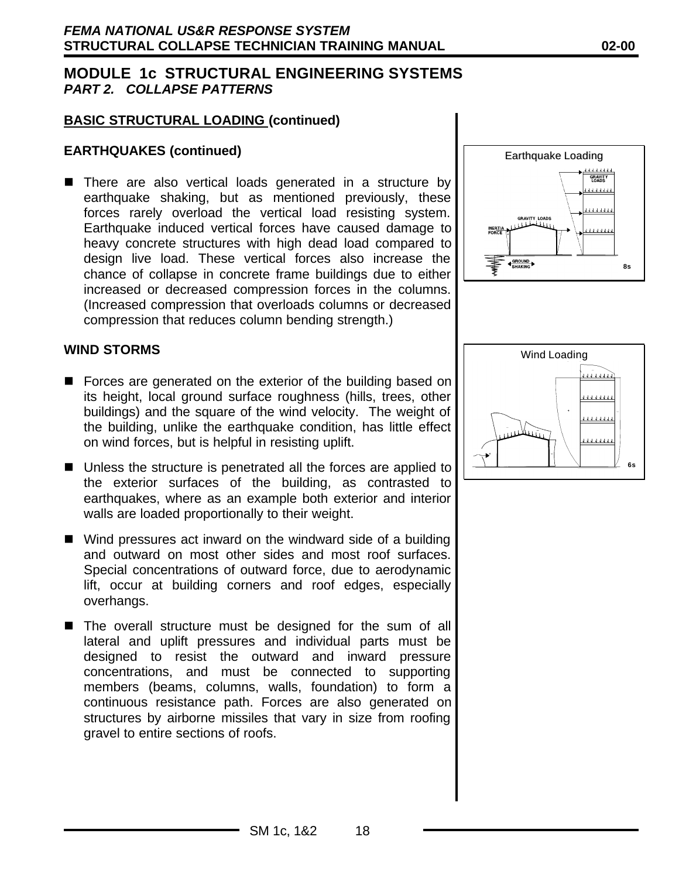### **BASIC STRUCTURAL LOADING (continued)**

### **EARTHQUAKES (continued)**

■ There are also vertical loads generated in a structure by earthquake shaking, but as mentioned previously, these forces rarely overload the vertical load resisting system. Earthquake induced vertical forces have caused damage to heavy concrete structures with high dead load compared to design live load. These vertical forces also increase the chance of collapse in concrete frame buildings due to either increased or decreased compression forces in the columns. (Increased compression that overloads columns or decreased compression that reduces column bending strength.)

#### **WIND STORMS**

- Forces are generated on the exterior of the building based on its height, local ground surface roughness (hills, trees, other buildings) and the square of the wind velocity. The weight of the building, unlike the earthquake condition, has little effect on wind forces, but is helpful in resisting uplift.
- $\blacksquare$  Unless the structure is penetrated all the forces are applied to the exterior surfaces of the building, as contrasted to earthquakes, where as an example both exterior and interior walls are loaded proportionally to their weight.
- $\blacksquare$  Wind pressures act inward on the windward side of a building and outward on most other sides and most roof surfaces. Special concentrations of outward force, due to aerodynamic lift, occur at building corners and roof edges, especially overhangs.
- The overall structure must be designed for the sum of all lateral and uplift pressures and individual parts must be designed to resist the outward and inward pressure concentrations, and must be connected to supporting members (beams, columns, walls, foundation) to form a continuous resistance path. Forces are also generated on structures by airborne missiles that vary in size from roofing gravel to entire sections of roofs.



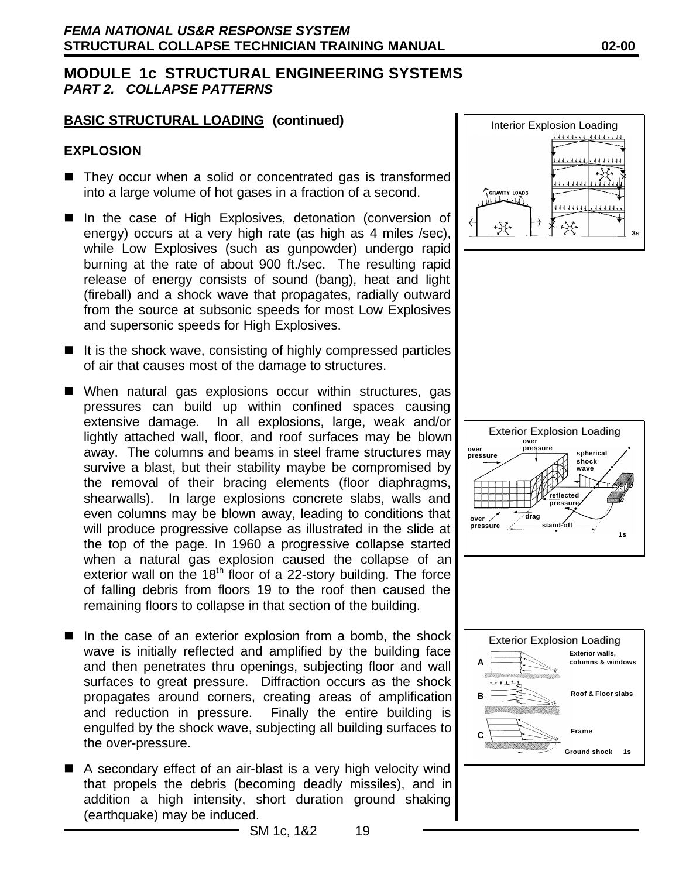## **BASIC STRUCTURAL LOADING (continued)**

#### **EXPLOSION**

- $\blacksquare$  They occur when a solid or concentrated gas is transformed into a large volume of hot gases in a fraction of a second.
- In the case of High Explosives, detonation (conversion of energy) occurs at a very high rate (as high as 4 miles /sec), while Low Explosives (such as gunpowder) undergo rapid burning at the rate of about 900 ft./sec. The resulting rapid release of energy consists of sound (bang), heat and light (fireball) and a shock wave that propagates, radially outward from the source at subsonic speeds for most Low Explosives and supersonic speeds for High Explosives.
- $\blacksquare$  It is the shock wave, consisting of highly compressed particles of air that causes most of the damage to structures.
- When natural gas explosions occur within structures, gas pressures can build up within confined spaces causing extensive damage. In all explosions, large, weak and/or lightly attached wall, floor, and roof surfaces may be blown away. The columns and beams in steel frame structures may survive a blast, but their stability maybe be compromised by the removal of their bracing elements (floor diaphragms, shearwalls). In large explosions concrete slabs, walls and even columns may be blown away, leading to conditions that will produce progressive collapse as illustrated in the slide at the top of the page. In 1960 a progressive collapse started when a natural gas explosion caused the collapse of an exterior wall on the  $18<sup>th</sup>$  floor of a 22-story building. The force of falling debris from floors 19 to the roof then caused the remaining floors to collapse in that section of the building.
- $\blacksquare$  In the case of an exterior explosion from a bomb, the shock wave is initially reflected and amplified by the building face and then penetrates thru openings, subjecting floor and wall surfaces to great pressure. Diffraction occurs as the shock propagates around corners, creating areas of amplification and reduction in pressure. Finally the entire building is engulfed by the shock wave, subjecting all building surfaces to the over-pressure.
- $\blacksquare$  A secondary effect of an air-blast is a very high velocity wind that propels the debris (becoming deadly missiles), and in addition a high intensity, short duration ground shaking (earthquake) may be induced.







SM 1c, 1&2 19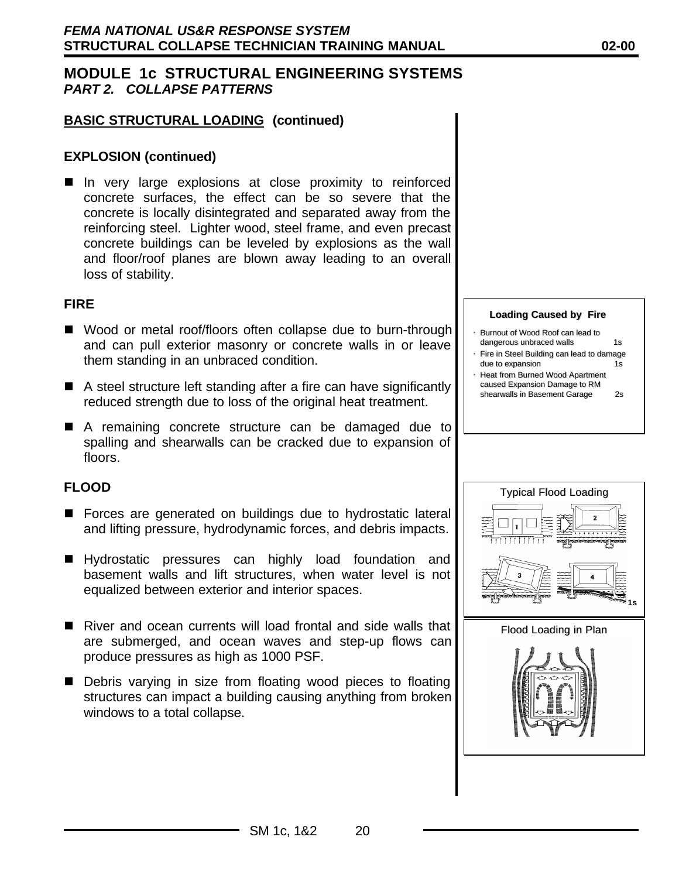## **BASIC STRUCTURAL LOADING (continued)**

#### **EXPLOSION (continued)**

**n** In very large explosions at close proximity to reinforced concrete surfaces, the effect can be so severe that the concrete is locally disintegrated and separated away from the reinforcing steel. Lighter wood, steel frame, and even precast concrete buildings can be leveled by explosions as the wall and floor/roof planes are blown away leading to an overall loss of stability.

#### **FIRE**

- Wood or metal roof/floors often collapse due to burn-through and can pull exterior masonry or concrete walls in or leave them standing in an unbraced condition.
- $\blacksquare$  A steel structure left standing after a fire can have significantly reduced strength due to loss of the original heat treatment.
- A remaining concrete structure can be damaged due to spalling and shearwalls can be cracked due to expansion of floors.

### **FLOOD**

- Forces are generated on buildings due to hydrostatic lateral and lifting pressure, hydrodynamic forces, and debris impacts.
- Hydrostatic pressures can highly load foundation and basement walls and lift structures, when water level is not equalized between exterior and interior spaces.
- $\blacksquare$  River and ocean currents will load frontal and side walls that are submerged, and ocean waves and step-up flows can produce pressures as high as 1000 PSF.
- Debris varying in size from floating wood pieces to floating structures can impact a building causing anything from broken windows to a total collapse.

#### **Loading Caused by Fire**

- Burnout of Wood Roof can lead to dangerous unbraced walls 1s
- Fire in Steel Building can lead to damage due to expansion 1s
- Heat from Burned Wood Apartment caused Expansion Damage to RM shearwalls in Basement Garage 2s

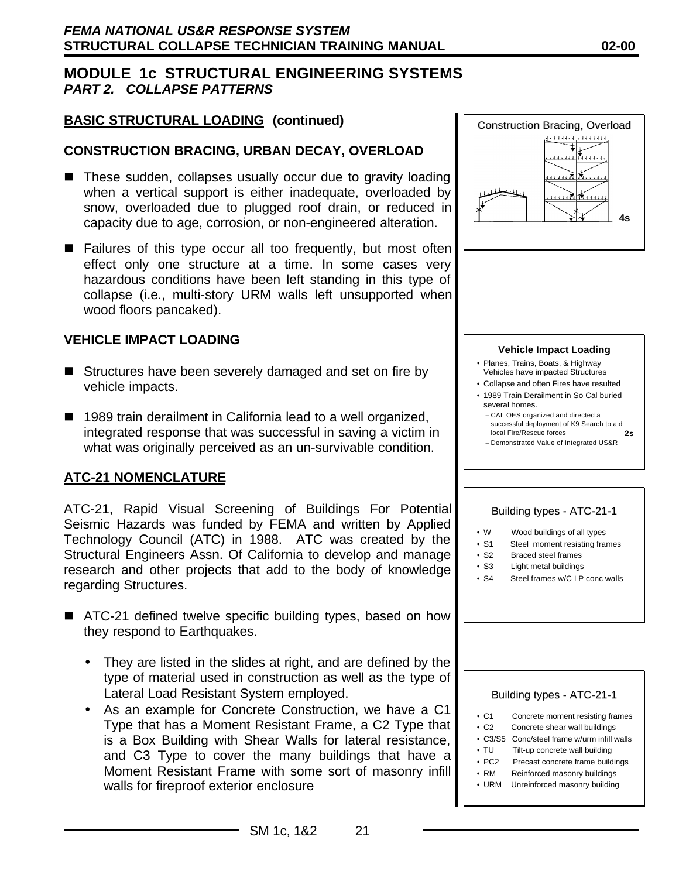## **BASIC STRUCTURAL LOADING (continued)**

#### **CONSTRUCTION BRACING, URBAN DECAY, OVERLOAD**

- These sudden, collapses usually occur due to gravity loading when a vertical support is either inadequate, overloaded by snow, overloaded due to plugged roof drain, or reduced in capacity due to age, corrosion, or non-engineered alteration.
- $\blacksquare$  Failures of this type occur all too frequently, but most often effect only one structure at a time. In some cases very hazardous conditions have been left standing in this type of collapse (i.e., multi-story URM walls left unsupported when wood floors pancaked).

#### **VEHICLE IMPACT LOADING**

- $\blacksquare$  Structures have been severely damaged and set on fire by vehicle impacts.
- 1989 train derailment in California lead to a well organized, integrated response that was successful in saving a victim in what was originally perceived as an un-survivable condition.

#### **ATC-21 NOMENCLATURE**

ATC-21, Rapid Visual Screening of Buildings For Potential Seismic Hazards was funded by FEMA and written by Applied Technology Council (ATC) in 1988. ATC was created by the Structural Engineers Assn. Of California to develop and manage research and other projects that add to the body of knowledge regarding Structures.

- ATC-21 defined twelve specific building types, based on how they respond to Earthquakes.
	- They are listed in the slides at right, and are defined by the type of material used in construction as well as the type of Lateral Load Resistant System employed.
	- As an example for Concrete Construction, we have a C1 Type that has a Moment Resistant Frame, a C2 Type that is a Box Building with Shear Walls for lateral resistance, and C3 Type to cover the many buildings that have a Moment Resistant Frame with some sort of masonry infill walls for fireproof exterior enclosure



#### **Vehicle Impact Loading**

- Planes, Trains, Boats, & Highway Vehicles have impacted Structures
- Collapse and often Fires have resulted
- 1989 Train Derailment in So Cal buried several homes.
	- CAL OES organized and directed a successful deployment of K9 Search to aid local Fire/Rescue forces **2s**
	- Demonstrated Value of Integrated US&R

#### Building types - ATC-21-1

- W Wood buildings of all types
- S1 Steel moment resisting frames
- S2 Braced steel frames
- S3 Light metal buildings
- S4 Steel frames w/C I P conc walls

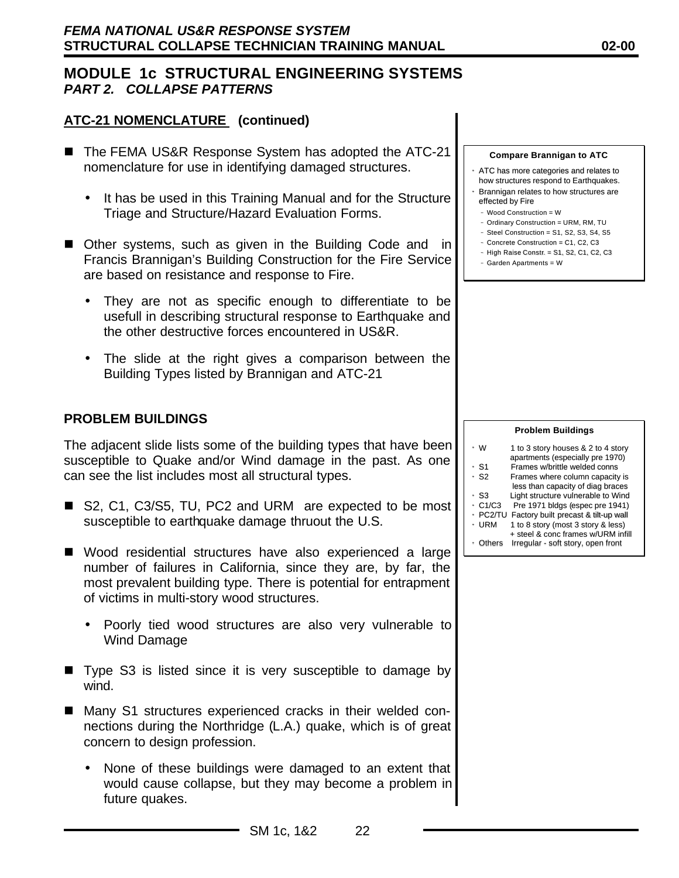#### **ATC-21 NOMENCLATURE (continued)**

- The FEMA US&R Response System has adopted the ATC-21 nomenclature for use in identifying damaged structures.
	- It has be used in this Training Manual and for the Structure Triage and Structure/Hazard Evaluation Forms.
- Other systems, such as given in the Building Code and in Francis Brannigan's Building Construction for the Fire Service are based on resistance and response to Fire.
	- They are not as specific enough to differentiate to be usefull in describing structural response to Earthquake and the other destructive forces encountered in US&R.
	- The slide at the right gives a comparison between the Building Types listed by Brannigan and ATC-21

#### **PROBLEM BUILDINGS**

The adjacent slide lists some of the building types that have been susceptible to Quake and/or Wind damage in the past. As one can see the list includes most all structural types.

- S2, C1, C3/S5, TU, PC2 and URM are expected to be most susceptible to earthquake damage thruout the U.S.
- $\blacksquare$  Wood residential structures have also experienced a large number of failures in California, since they are, by far, the most prevalent building type. There is potential for entrapment of victims in multi-story wood structures.
	- Poorly tied wood structures are also very vulnerable to Wind Damage
- Type S3 is listed since it is very susceptible to damage by wind.
- Many S1 structures experienced cracks in their welded connections during the Northridge (L.A.) quake, which is of great concern to design profession.
	- None of these buildings were damaged to an extent that would cause collapse, but they may become a problem in future quakes.

**Compare Brannigan to ATC**

- ATC has more categories and relates to how structures respond to Earthquakes.
- Brannigan relates to how structures are effected by Fire
- Wood Construction = W
- Ordinary Construction = URM, RM, TU
- $-$  Steel Construction  $=$  S1, S2, S3, S4, S5 –– Concrete Construction = C1, C2, C3
- –– High Raise Constr. = S1, S2, C1, C2, C3
- Garden Apartments = W

|          | <b>Problem Buildings</b>                                               |
|----------|------------------------------------------------------------------------|
| ∘ W      | 1 to 3 story houses & 2 to 4 story<br>apartments (especially pre 1970) |
| • S1     | Frames w/brittle welded conns                                          |
| • S2     | Frames where column capacity is                                        |
|          | less than capacity of diag braces                                      |
| • S3     | Light structure vulnerable to Wind                                     |
| C1/C3    | Pre 1971 bldgs (espec pre 1941)                                        |
| • PC2/TU | Factory built precast & tilt-up wall                                   |
| • URM    | 1 to 8 story (most 3 story & less)                                     |
|          | + steel & conc frames w/URM infill                                     |
| • Others | Irregular - soft story, open front                                     |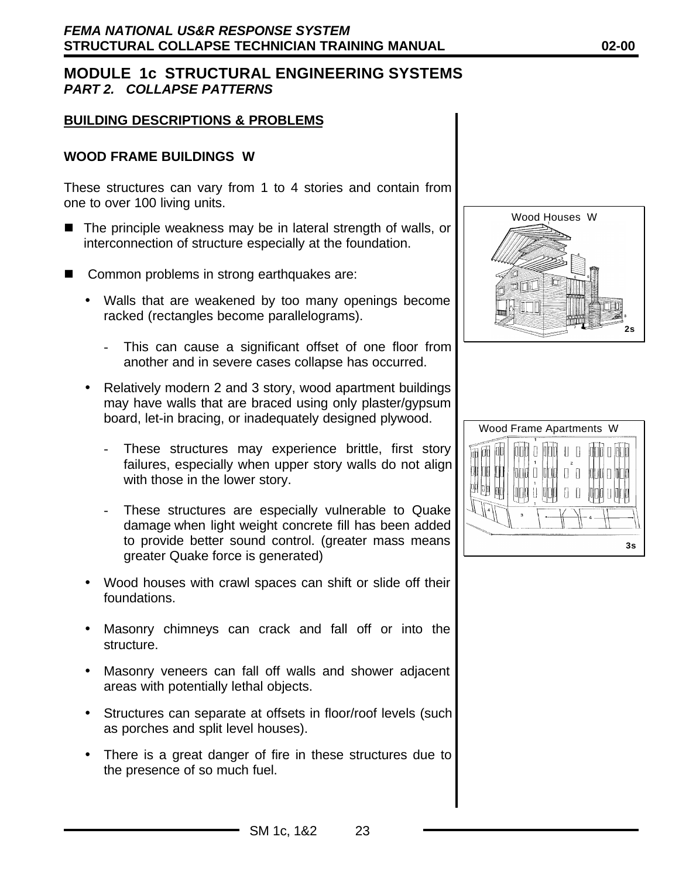#### **BUILDING DESCRIPTIONS & PROBLEMS**

#### **WOOD FRAME BUILDINGS W**

These structures can vary from 1 to 4 stories and contain from one to over 100 living units.

- $\blacksquare$  The principle weakness may be in lateral strength of walls, or interconnection of structure especially at the foundation.
- Common problems in strong earthquakes are:
	- Walls that are weakened by too many openings become racked (rectangles become parallelograms).
		- This can cause a significant offset of one floor from another and in severe cases collapse has occurred.
	- Relatively modern 2 and 3 story, wood apartment buildings may have walls that are braced using only plaster/gypsum board, let-in bracing, or inadequately designed plywood.
		- These structures may experience brittle, first story failures, especially when upper story walls do not align with those in the lower story.
		- These structures are especially vulnerable to Quake damage when light weight concrete fill has been added to provide better sound control. (greater mass means greater Quake force is generated)
	- Wood houses with crawl spaces can shift or slide off their foundations.
	- Masonry chimneys can crack and fall off or into the structure.
	- Masonry veneers can fall off walls and shower adjacent areas with potentially lethal objects.
	- Structures can separate at offsets in floor/roof levels (such as porches and split level houses).
	- There is a great danger of fire in these structures due to the presence of so much fuel.



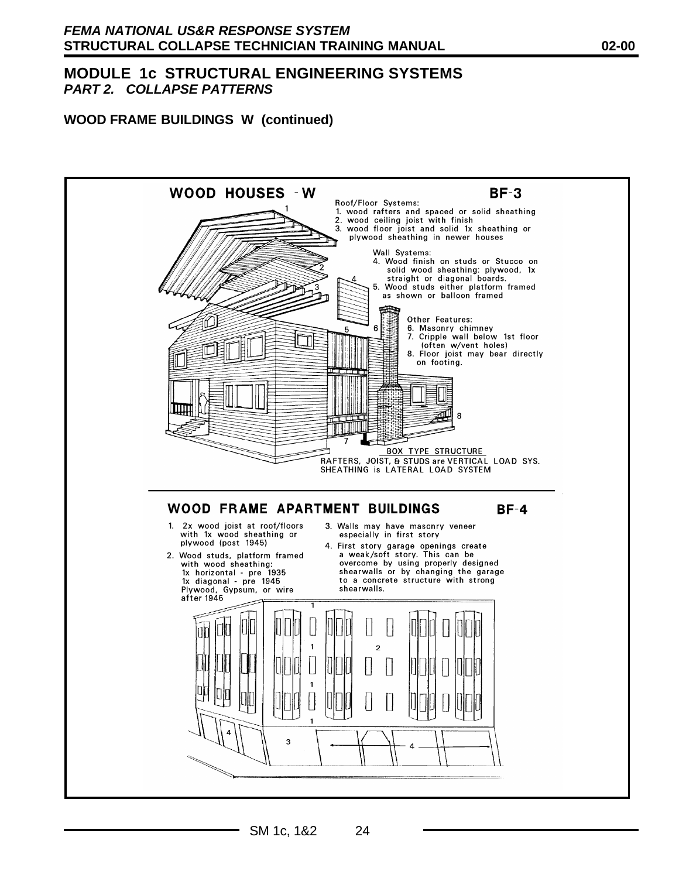#### **WOOD FRAME BUILDINGS W (continued)**

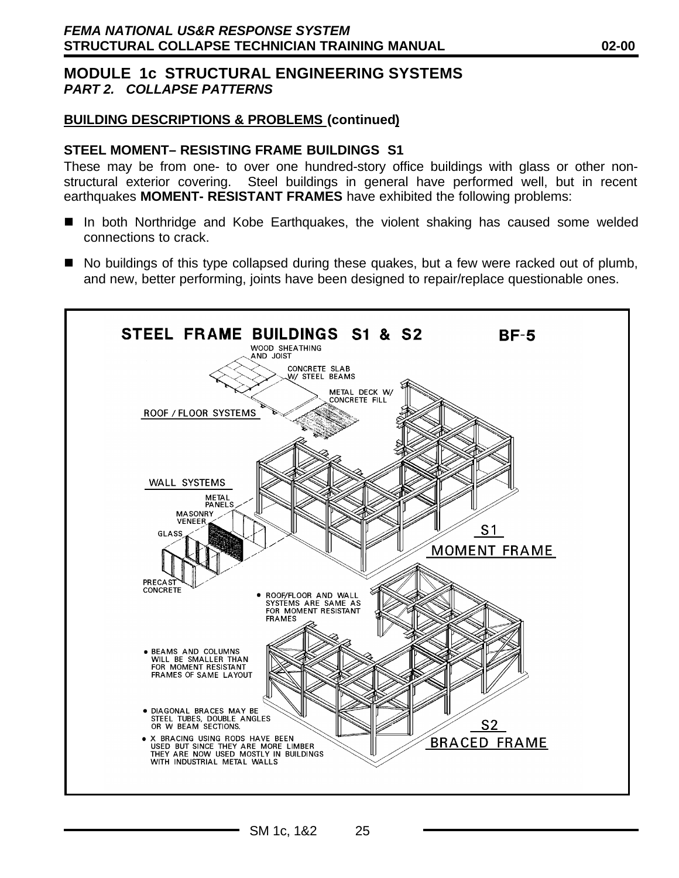## **BUILDING DESCRIPTIONS & PROBLEMS (continued)**

#### **STEEL MOMENT– RESISTING FRAME BUILDINGS S1**

These may be from one- to over one hundred-story office buildings with glass or other nonstructural exterior covering. Steel buildings in general have performed well, but in recent earthquakes **MOMENT- RESISTANT FRAMES** have exhibited the following problems:

- In both Northridge and Kobe Earthquakes, the violent shaking has caused some welded connections to crack.
- $\blacksquare$  No buildings of this type collapsed during these quakes, but a few were racked out of plumb, and new, better performing, joints have been designed to repair/replace questionable ones.

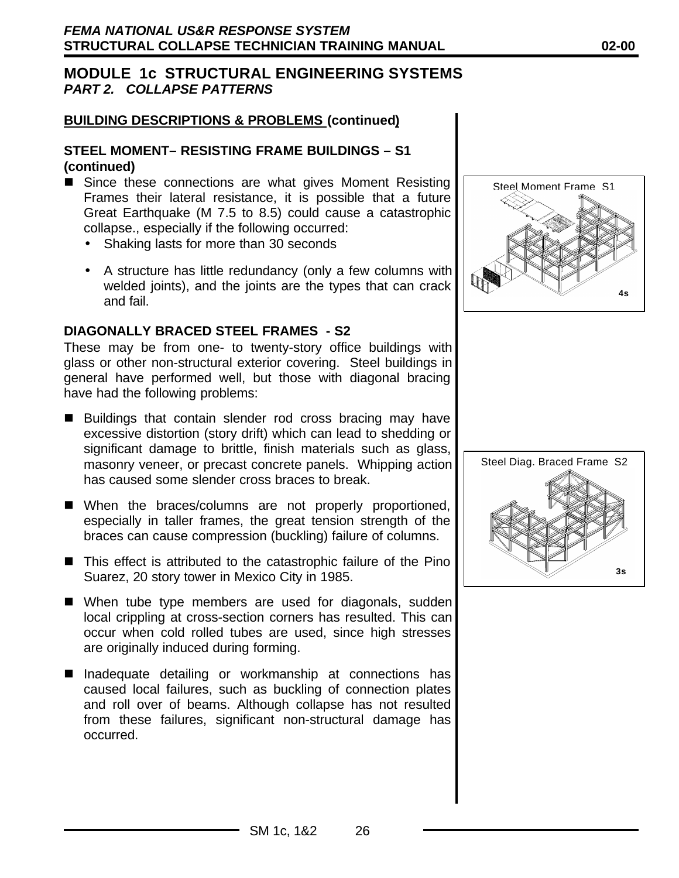### **BUILDING DESCRIPTIONS & PROBLEMS (continued)**

#### **STEEL MOMENT– RESISTING FRAME BUILDINGS – S1 (continued)**

- Since these connections are what gives Moment Resisting Frames their lateral resistance, it is possible that a future Great Earthquake (M 7.5 to 8.5) could cause a catastrophic collapse., especially if the following occurred:
	- Shaking lasts for more than 30 seconds
	- A structure has little redundancy (only a few columns with welded joints), and the joints are the types that can crack and fail.

## **DIAGONALLY BRACED STEEL FRAMES - S2**

These may be from one- to twenty-story office buildings with glass or other non-structural exterior covering. Steel buildings in general have performed well, but those with diagonal bracing have had the following problems:

- Buildings that contain slender rod cross bracing may have excessive distortion (story drift) which can lead to shedding or significant damage to brittle, finish materials such as glass, masonry veneer, or precast concrete panels. Whipping action has caused some slender cross braces to break.
- When the braces/columns are not properly proportioned, especially in taller frames, the great tension strength of the braces can cause compression (buckling) failure of columns.
- $\blacksquare$  This effect is attributed to the catastrophic failure of the Pino Suarez, 20 story tower in Mexico City in 1985.
- $\blacksquare$  When tube type members are used for diagonals, sudden local crippling at cross-section corners has resulted. This can occur when cold rolled tubes are used, since high stresses are originally induced during forming.
- Inadequate detailing or workmanship at connections has caused local failures, such as buckling of connection plates and roll over of beams. Although collapse has not resulted from these failures, significant non-structural damage has occurred.



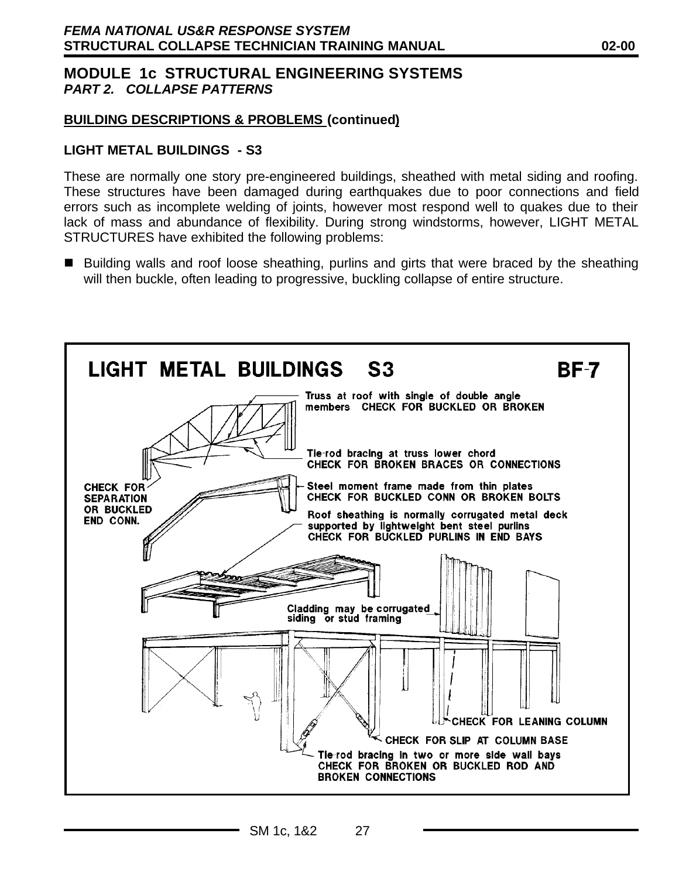## **BUILDING DESCRIPTIONS & PROBLEMS (continued)**

#### **LIGHT METAL BUILDINGS - S3**

These are normally one story pre-engineered buildings, sheathed with metal siding and roofing. These structures have been damaged during earthquakes due to poor connections and field errors such as incomplete welding of joints, however most respond well to quakes due to their lack of mass and abundance of flexibility. During strong windstorms, however, LIGHT METAL STRUCTURES have exhibited the following problems:

■ Building walls and roof loose sheathing, purlins and girts that were braced by the sheathing will then buckle, often leading to progressive, buckling collapse of entire structure.

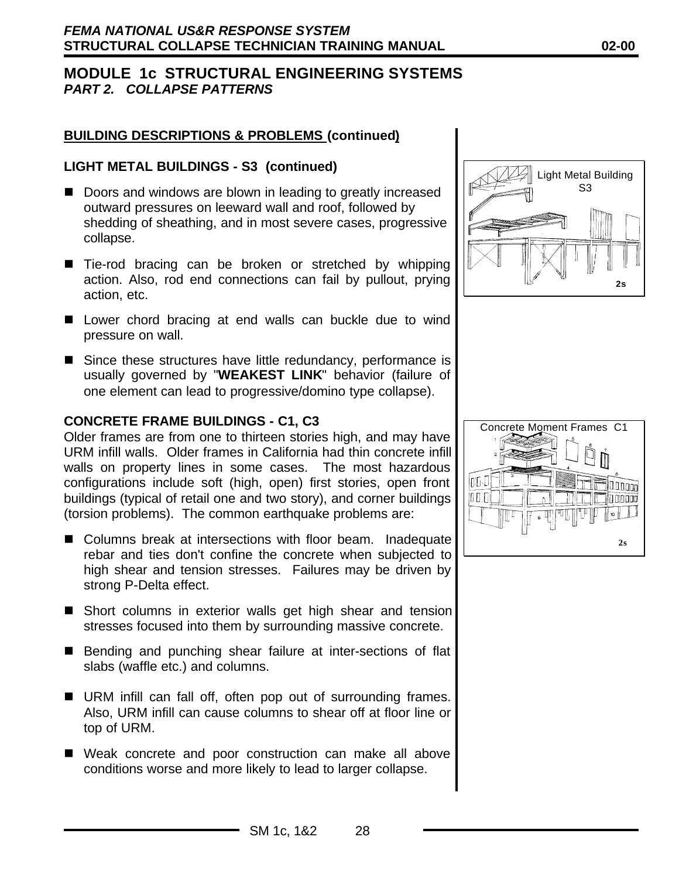### **BUILDING DESCRIPTIONS & PROBLEMS (continued)**

#### **LIGHT METAL BUILDINGS - S3 (continued)**

- Doors and windows are blown in leading to greatly increased outward pressures on leeward wall and roof, followed by shedding of sheathing, and in most severe cases, progressive collapse.
- Tie-rod bracing can be broken or stretched by whipping action. Also, rod end connections can fail by pullout, prying action, etc.
- Lower chord bracing at end walls can buckle due to wind pressure on wall.
- $\blacksquare$  Since these structures have little redundancy, performance is usually governed by "**WEAKEST LINK**" behavior (failure of one element can lead to progressive/domino type collapse).

#### **CONCRETE FRAME BUILDINGS - C1, C3**

Older frames are from one to thirteen stories high, and may have URM infill walls. Older frames in California had thin concrete infill walls on property lines in some cases. The most hazardous configurations include soft (high, open) first stories, open front buildings (typical of retail one and two story), and corner buildings (torsion problems). The common earthquake problems are:

- Columns break at intersections with floor beam. Inadequate rebar and ties don't confine the concrete when subjected to high shear and tension stresses. Failures may be driven by strong P-Delta effect.
- Short columns in exterior walls get high shear and tension stresses focused into them by surrounding massive concrete.
- Bending and punching shear failure at inter-sections of flat slabs (waffle etc.) and columns.
- URM infill can fall off, often pop out of surrounding frames. Also, URM infill can cause columns to shear off at floor line or top of URM.
- Weak concrete and poor construction can make all above conditions worse and more likely to lead to larger collapse.





#### SM 1c, 1&2 28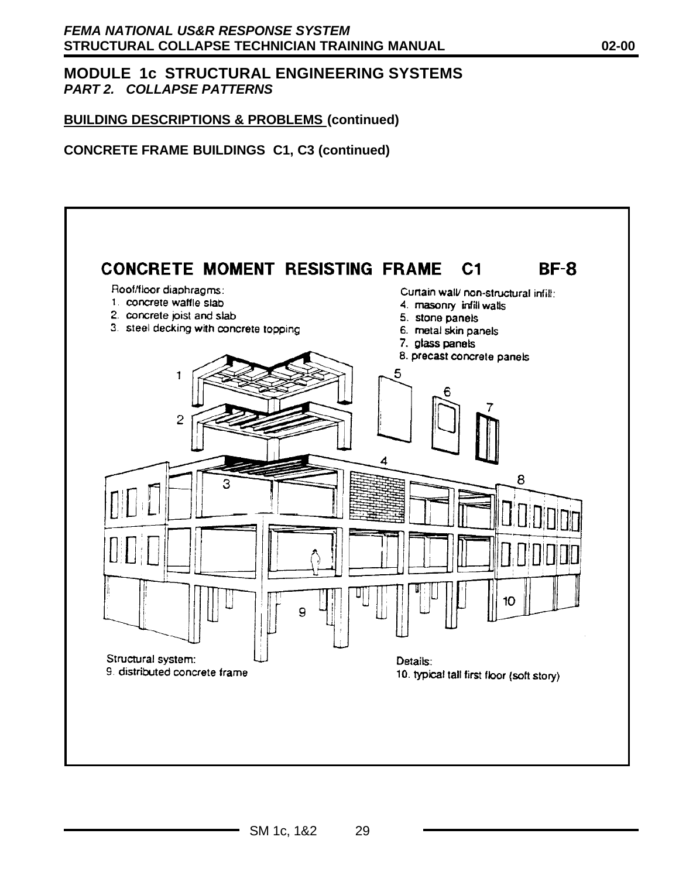## **BUILDING DESCRIPTIONS & PROBLEMS (continued)**

## **CONCRETE FRAME BUILDINGS C1, C3 (continued)**

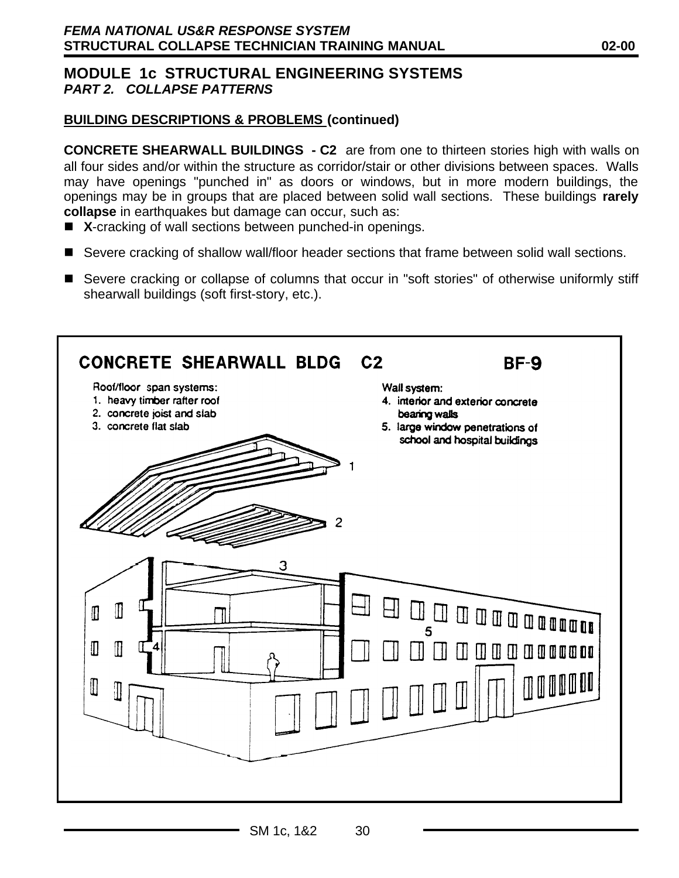## **BUILDING DESCRIPTIONS & PROBLEMS (continued)**

**CONCRETE SHEARWALL BUILDINGS - C2** are from one to thirteen stories high with walls on all four sides and/or within the structure as corridor/stair or other divisions between spaces. Walls may have openings "punched in" as doors or windows, but in more modern buildings, the openings may be in groups that are placed between solid wall sections. These buildings **rarely collapse** in earthquakes but damage can occur, such as:

- X-cracking of wall sections between punched-in openings.
- Severe cracking of shallow wall/floor header sections that frame between solid wall sections.
- Severe cracking or collapse of columns that occur in "soft stories" of otherwise uniformly stiff shearwall buildings (soft first-story, etc.).

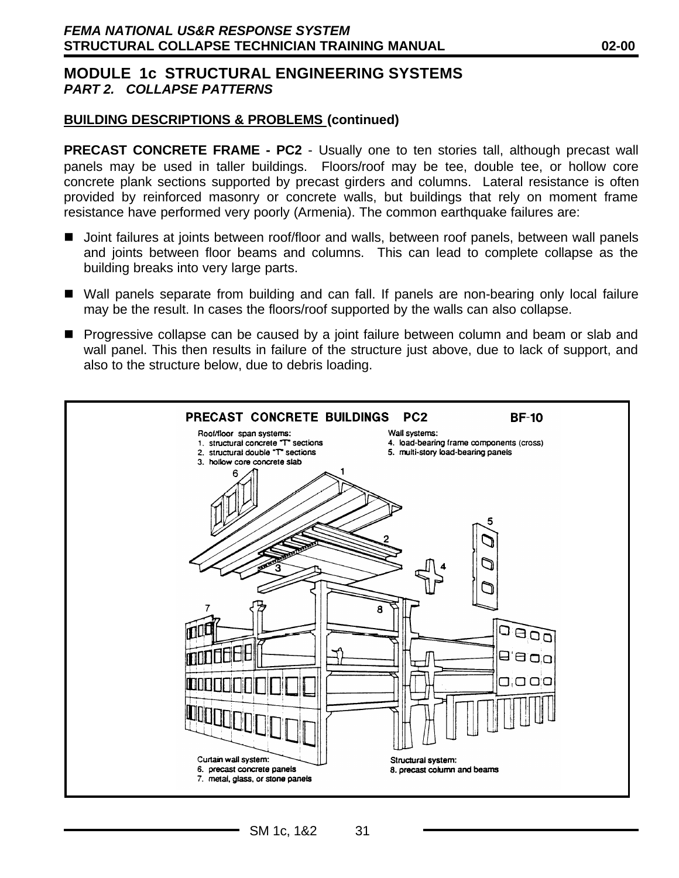#### **BUILDING DESCRIPTIONS & PROBLEMS (continued)**

**PRECAST CONCRETE FRAME - PC2** - Usually one to ten stories tall, although precast wall panels may be used in taller buildings. Floors/roof may be tee, double tee, or hollow core concrete plank sections supported by precast girders and columns. Lateral resistance is often provided by reinforced masonry or concrete walls, but buildings that rely on moment frame resistance have performed very poorly (Armenia). The common earthquake failures are:

- Joint failures at joints between roof/floor and walls, between roof panels, between wall panels and joints between floor beams and columns. This can lead to complete collapse as the building breaks into very large parts.
- Wall panels separate from building and can fall. If panels are non-bearing only local failure may be the result. In cases the floors/roof supported by the walls can also collapse.
- **n** Progressive collapse can be caused by a joint failure between column and beam or slab and wall panel. This then results in failure of the structure just above, due to lack of support, and also to the structure below, due to debris loading.

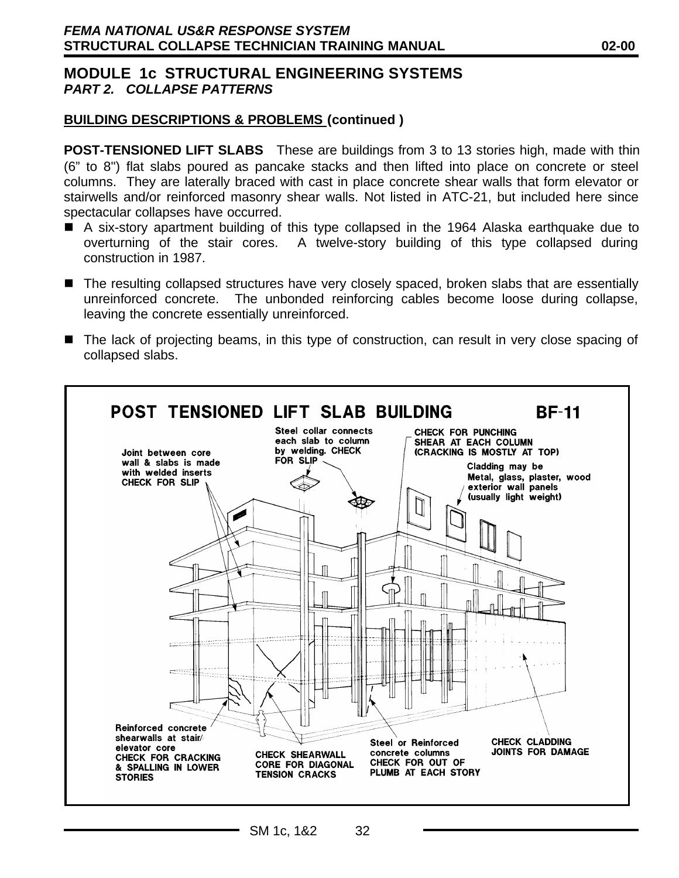#### **BUILDING DESCRIPTIONS & PROBLEMS (continued )**

**POST-TENSIONED LIFT SLABS** These are buildings from 3 to 13 stories high, made with thin (6" to 8") flat slabs poured as pancake stacks and then lifted into place on concrete or steel columns. They are laterally braced with cast in place concrete shear walls that form elevator or stairwells and/or reinforced masonry shear walls. Not listed in ATC-21, but included here since spectacular collapses have occurred.

- A six-story apartment building of this type collapsed in the 1964 Alaska earthquake due to overturning of the stair cores. A twelve-story building of this type collapsed during construction in 1987.
- The resulting collapsed structures have very closely spaced, broken slabs that are essentially unreinforced concrete. The unbonded reinforcing cables become loose during collapse, leaving the concrete essentially unreinforced.
- The lack of projecting beams, in this type of construction, can result in very close spacing of collapsed slabs.

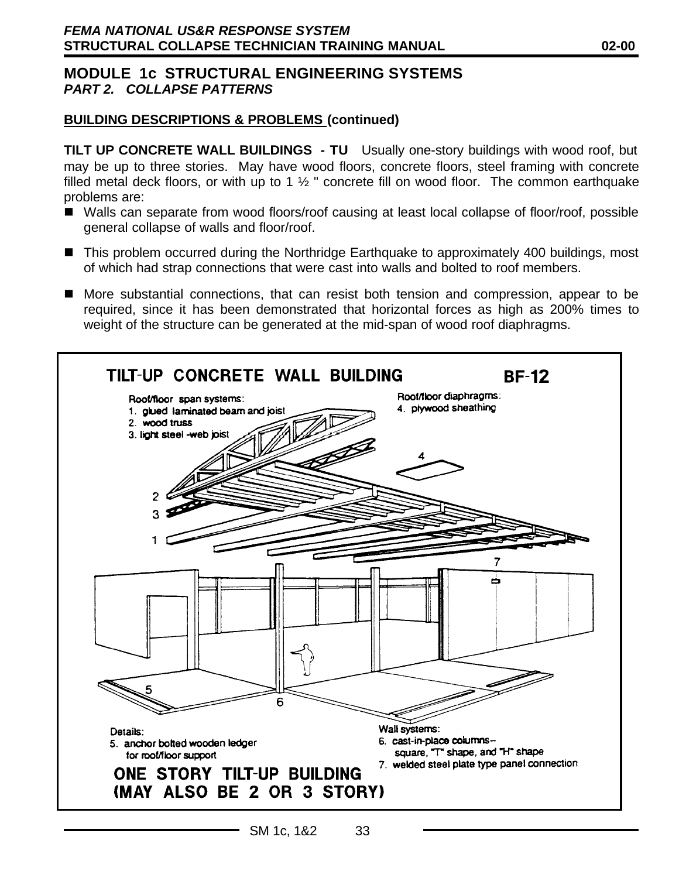### **BUILDING DESCRIPTIONS & PROBLEMS (continued)**

**TILT UP CONCRETE WALL BUILDINGS - TU** Usually one-story buildings with wood roof, but may be up to three stories. May have wood floors, concrete floors, steel framing with concrete filled metal deck floors, or with up to 1  $\frac{1}{2}$  " concrete fill on wood floor. The common earthquake problems are:

- Walls can separate from wood floors/roof causing at least local collapse of floor/roof, possible general collapse of walls and floor/roof.
- This problem occurred during the Northridge Earthquake to approximately 400 buildings, most of which had strap connections that were cast into walls and bolted to roof members.
- n More substantial connections, that can resist both tension and compression, appear to be required, since it has been demonstrated that horizontal forces as high as 200% times to weight of the structure can be generated at the mid-span of wood roof diaphragms.

| TILT-UP CONCRETE WALL BUILDING<br>Roof/floor span systems:<br>1. glued laminated beam and joist<br>2. wood truss<br>3. light steel -web joist | <b>BF-12</b><br>Roof/floor diaphragms:<br>4. plywood sheathing                                                                     |
|-----------------------------------------------------------------------------------------------------------------------------------------------|------------------------------------------------------------------------------------------------------------------------------------|
| 6<br>Details:<br>5. anchor bolted wooden ledger<br>for roof/floor support<br>ONE STORY TILT-UP BUILDING<br>(MAY ALSO BE 2 OR 3 STORY)         | 7<br>Wall systems:<br>6. cast-in-place columns-<br>square, "T" shape, and "H" shape<br>7. welded steel plate type panel connection |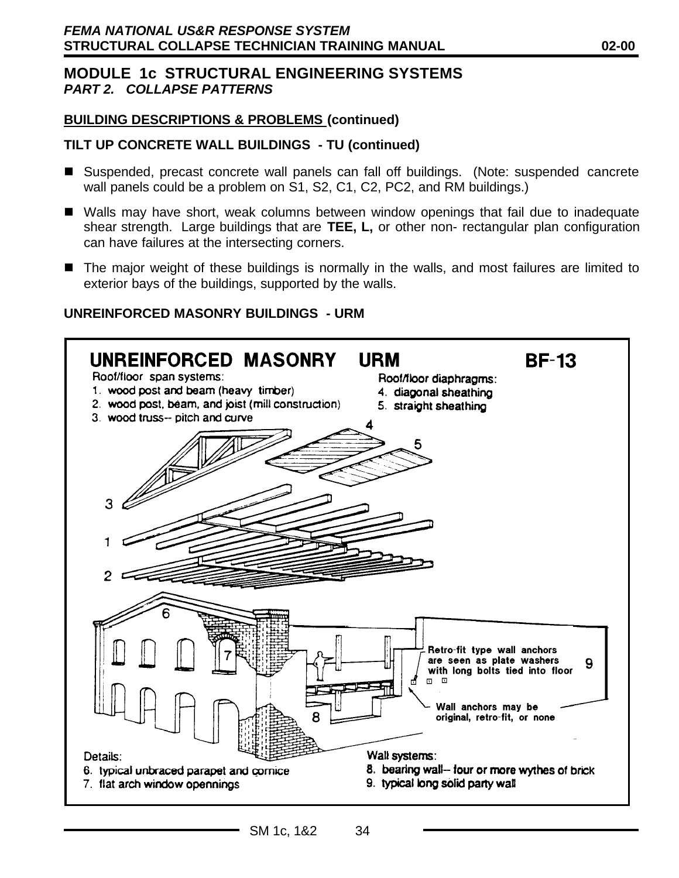### **BUILDING DESCRIPTIONS & PROBLEMS (continued)**

## **TILT UP CONCRETE WALL BUILDINGS - TU (continued)**

- Suspended, precast concrete wall panels can fall off buildings. (Note: suspended cancrete wall panels could be a problem on S1, S2, C1, C2, PC2, and RM buildings.)
- Walls may have short, weak columns between window openings that fail due to inadequate shear strength. Large buildings that are **TEE, L,** or other non- rectangular plan configuration can have failures at the intersecting corners.
- The major weight of these buildings is normally in the walls, and most failures are limited to exterior bays of the buildings, supported by the walls.

### **UNREINFORCED MASONRY BUILDINGS - URM**

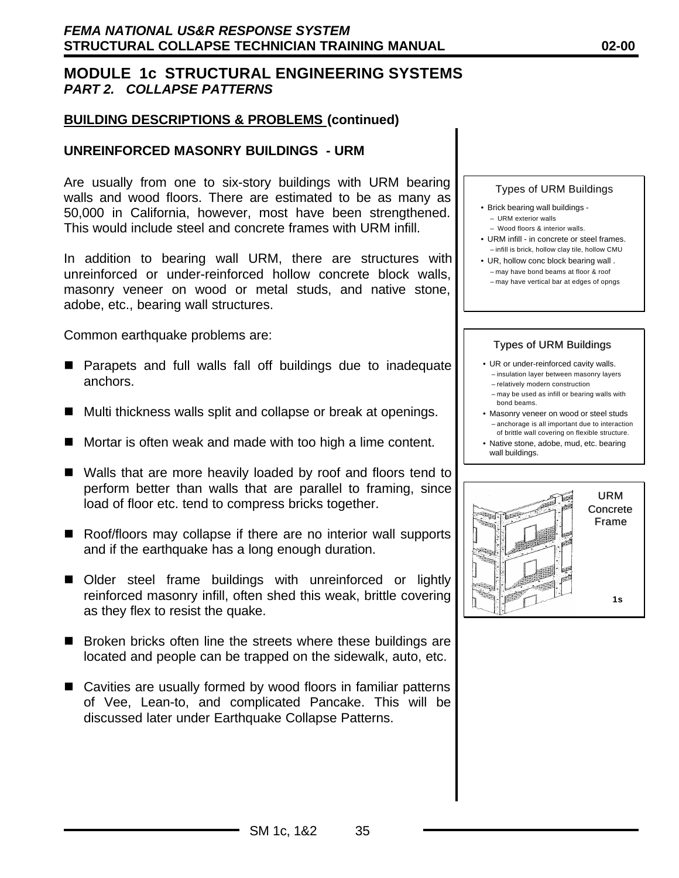#### **BUILDING DESCRIPTIONS & PROBLEMS (continued)**

#### **UNREINFORCED MASONRY BUILDINGS - URM**

Are usually from one to six-story buildings with URM bearing walls and wood floors. There are estimated to be as many as 50,000 in California, however, most have been strengthened. This would include steel and concrete frames with URM infill.

In addition to bearing wall URM, there are structures with unreinforced or under-reinforced hollow concrete block walls, masonry veneer on wood or metal studs, and native stone, adobe, etc., bearing wall structures.

Common earthquake problems are:

- **n** Parapets and full walls fall off buildings due to inadequate anchors.
- $\blacksquare$  Multi thickness walls split and collapse or break at openings.
- $\blacksquare$  Mortar is often weak and made with too high a lime content.
- Walls that are more heavily loaded by roof and floors tend to perform better than walls that are parallel to framing, since load of floor etc. tend to compress bricks together.
- Roof/floors may collapse if there are no interior wall supports and if the earthquake has a long enough duration.
- Older steel frame buildings with unreinforced or lightly reinforced masonry infill, often shed this weak, brittle covering as they flex to resist the quake.
- $\blacksquare$  Broken bricks often line the streets where these buildings are located and people can be trapped on the sidewalk, auto, etc.
- Cavities are usually formed by wood floors in familiar patterns of Vee, Lean-to, and complicated Pancake. This will be discussed later under Earthquake Collapse Patterns.



- Brick bearing wall buildings – URM exterior walls
	- Wood floors & interior walls.
- URM infill in concrete or steel frames. – infill is brick, hollow clay tile, hollow CMU
- UR, hollow conc block bearing wall . – may have bond beams at floor & roof – may have vertical bar at edges of opngs

#### Types of URM Buildings

- UR or under-reinforced cavity walls. – insulation layer between masonry layers – relatively modern construction
	- may be used as infill or bearing walls with
- bond beams. • Masonry veneer on wood or steel studs
- anchorage is all important due to interaction of brittle wall covering on flexible structure.
- Native stone, adobe, mud, etc. bearing wall buildings.

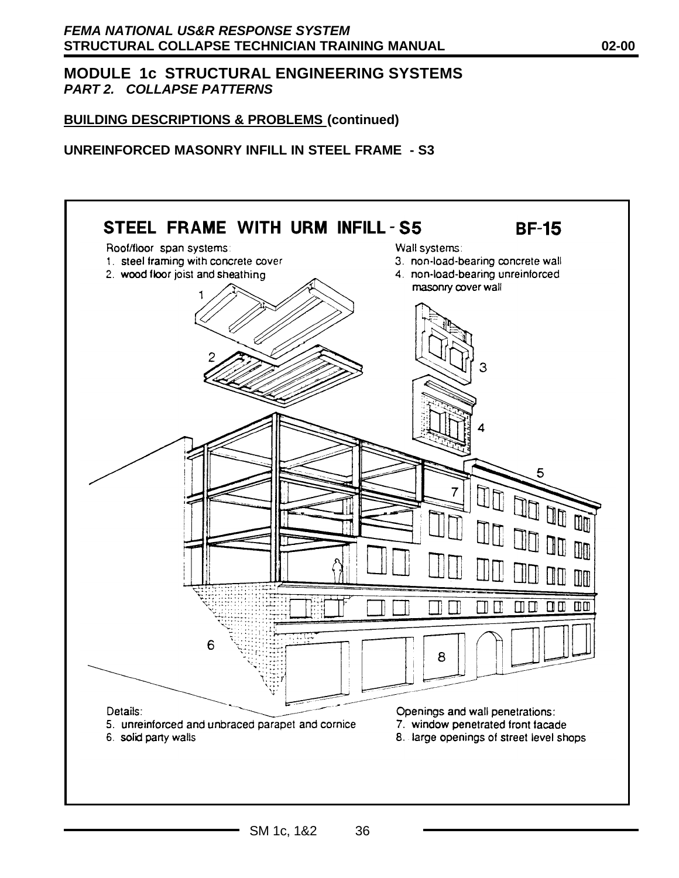## **BUILDING DESCRIPTIONS & PROBLEMS (continued)**

#### **UNREINFORCED MASONRY INFILL IN STEEL FRAME - S3**

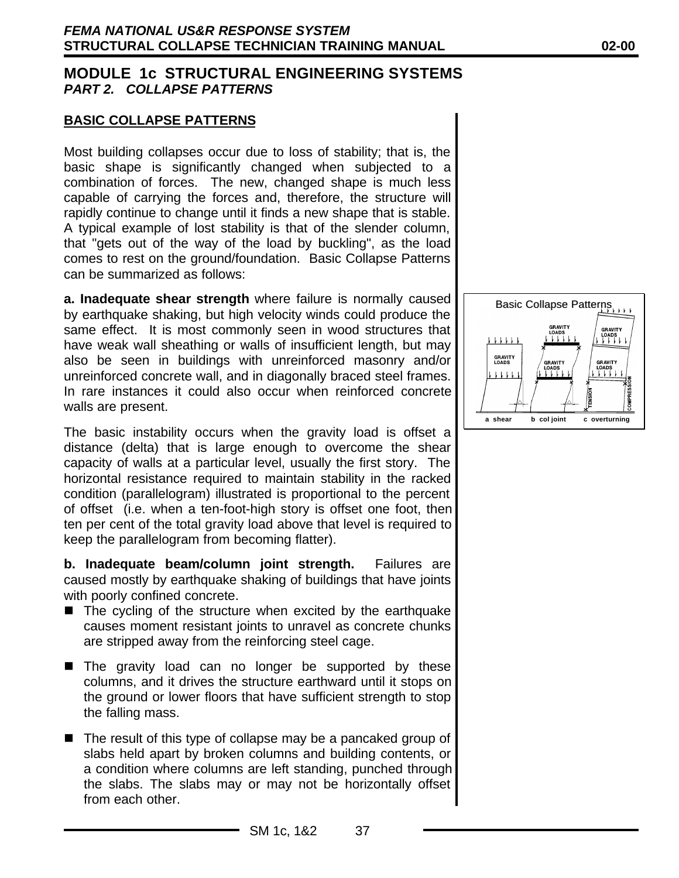### **BASIC COLLAPSE PATTERNS**

Most building collapses occur due to loss of stability; that is, the basic shape is significantly changed when subjected to a combination of forces. The new, changed shape is much less capable of carrying the forces and, therefore, the structure will rapidly continue to change until it finds a new shape that is stable. A typical example of lost stability is that of the slender column, that "gets out of the way of the load by buckling", as the load comes to rest on the ground/foundation. Basic Collapse Patterns can be summarized as follows:

**a. Inadequate shear strength** where failure is normally caused by earthquake shaking, but high velocity winds could produce the same effect. It is most commonly seen in wood structures that have weak wall sheathing or walls of insufficient length, but may also be seen in buildings with unreinforced masonry and/or unreinforced concrete wall, and in diagonally braced steel frames. In rare instances it could also occur when reinforced concrete walls are present.

The basic instability occurs when the gravity load is offset a distance (delta) that is large enough to overcome the shear capacity of walls at a particular level, usually the first story. The horizontal resistance required to maintain stability in the racked condition (parallelogram) illustrated is proportional to the percent of offset (i.e. when a ten-foot-high story is offset one foot, then ten per cent of the total gravity load above that level is required to keep the parallelogram from becoming flatter).

**b. Inadequate beam/column joint strength.** Failures are caused mostly by earthquake shaking of buildings that have joints with poorly confined concrete.

- $\blacksquare$  The cycling of the structure when excited by the earthquake causes moment resistant joints to unravel as concrete chunks are stripped away from the reinforcing steel cage.
- The gravity load can no longer be supported by these columns, and it drives the structure earthward until it stops on the ground or lower floors that have sufficient strength to stop the falling mass.
- $\blacksquare$  The result of this type of collapse may be a pancaked group of slabs held apart by broken columns and building contents, or a condition where columns are left standing, punched through the slabs. The slabs may or may not be horizontally offset from each other.

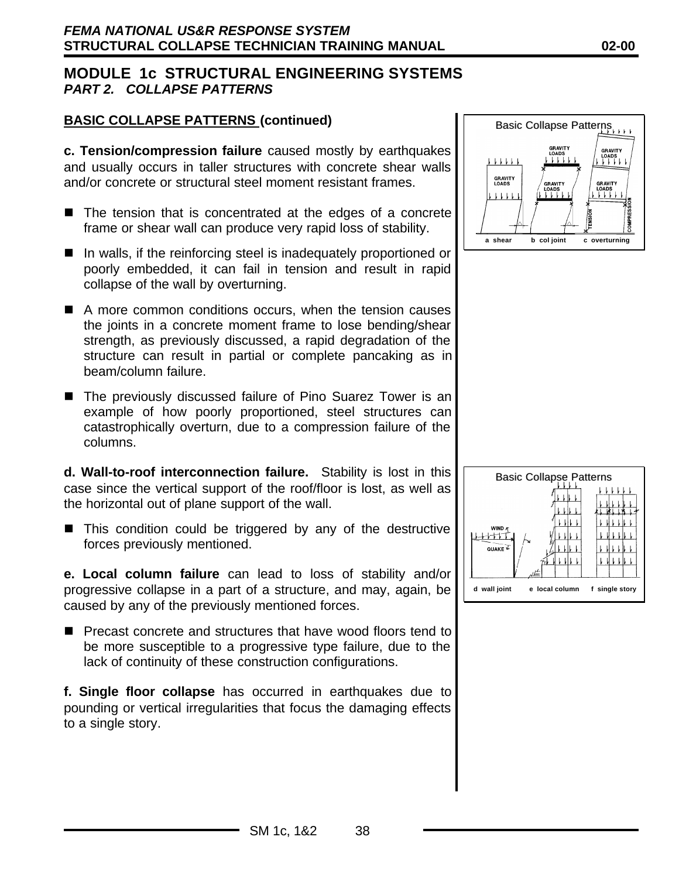## **BASIC COLLAPSE PATTERNS (continued)**

**c. Tension/compression failure** caused mostly by earthquakes and usually occurs in taller structures with concrete shear walls and/or concrete or structural steel moment resistant frames.

- $\blacksquare$  The tension that is concentrated at the edges of a concrete frame or shear wall can produce very rapid loss of stability.
- $\blacksquare$  In walls, if the reinforcing steel is inadequately proportioned or poorly embedded, it can fail in tension and result in rapid collapse of the wall by overturning.
- $\blacksquare$  A more common conditions occurs, when the tension causes the joints in a concrete moment frame to lose bending/shear strength, as previously discussed, a rapid degradation of the structure can result in partial or complete pancaking as in beam/column failure.
- The previously discussed failure of Pino Suarez Tower is an example of how poorly proportioned, steel structures can catastrophically overturn, due to a compression failure of the columns.

**d. Wall-to-roof interconnection failure.** Stability is lost in this case since the vertical support of the roof/floor is lost, as well as the horizontal out of plane support of the wall.

 $\blacksquare$  This condition could be triggered by any of the destructive forces previously mentioned.

**e. Local column failure** can lead to loss of stability and/or progressive collapse in a part of a structure, and may, again, be caused by any of the previously mentioned forces.

■ Precast concrete and structures that have wood floors tend to be more susceptible to a progressive type failure, due to the lack of continuity of these construction configurations.

**f. Single floor collapse** has occurred in earthquakes due to pounding or vertical irregularities that focus the damaging effects to a single story.



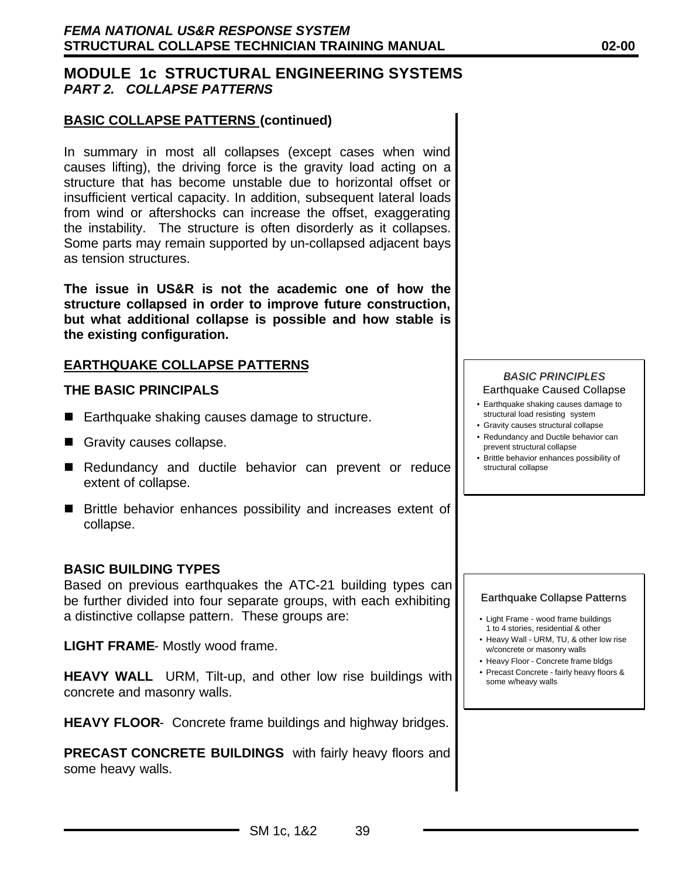#### **BASIC COLLAPSE PATTERNS (continued)**

In summary in most all collapses (except cases when wind causes lifting), the driving force is the gravity load acting on a structure that has become unstable due to horizontal offset or insufficient vertical capacity. In addition, subsequent lateral loads from wind or aftershocks can increase the offset, exaggerating the instability. The structure is often disorderly as it collapses. Some parts may remain supported by un-collapsed adjacent bays as tension structures.

**The issue in US&R is not the academic one of how the structure collapsed in order to improve future construction, but what additional collapse is possible and how stable is the existing configuration.**

### **EARTHQUAKE COLLAPSE PATTERNS**

#### **THE BASIC PRINCIPALS**

- $\blacksquare$  Earthquake shaking causes damage to structure.
- Gravity causes collapse.
- Redundancy and ductile behavior can prevent or reduce extent of collapse.
- Brittle behavior enhances possibility and increases extent of collapse.

#### **BASIC BUILDING TYPES**

Based on previous earthquakes the ATC-21 building types can be further divided into four separate groups, with each exhibiting a distinctive collapse pattern. These groups are:

**LIGHT FRAME**- Mostly wood frame.

**HEAVY WALL** URM, Tilt-up, and other low rise buildings with concrete and masonry walls.

**HEAVY FLOOR**- Concrete frame buildings and highway bridges.

**PRECAST CONCRETE BUILDINGS** with fairly heavy floors and some heavy walls.

#### *BASIC PRINCIPLES* Earthquake Caused Collapse

- Earthquake shaking causes damage to structural load resisting system
- Gravity causes structural collapse
- Redundancy and Ductile behavior can prevent structural collapse
- Brittle behavior enhances possibility of structural collapse

#### Earthquake Collapse Patterns

- Light Frame wood frame buildings 1 to 4 stories, residential & other
- Heavy Wall URM, TU, & other low rise w/concrete or masonry walls
- Heavy Floor Concrete frame bldgs
- Precast Concrete fairly heavy floors & some w/heavy walls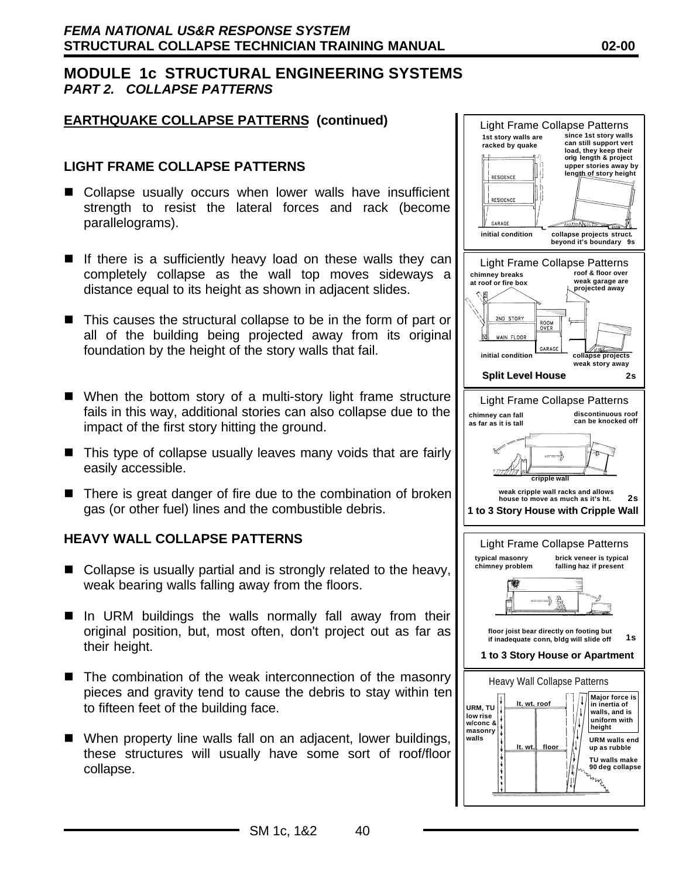### **EARTHQUAKE COLLAPSE PATTERNS (continued)**

### **LIGHT FRAME COLLAPSE PATTERNS**

- Collapse usually occurs when lower walls have insufficient strength to resist the lateral forces and rack (become parallelograms).
- $\blacksquare$  If there is a sufficiently heavy load on these walls they can completely collapse as the wall top moves sideways a distance equal to its height as shown in adjacent slides.
- $\blacksquare$  This causes the structural collapse to be in the form of part or all of the building being projected away from its original foundation by the height of the story walls that fail.
- When the bottom story of a multi-story light frame structure fails in this way, additional stories can also collapse due to the impact of the first story hitting the ground.
- $\blacksquare$  This type of collapse usually leaves many voids that are fairly easily accessible.
- $\blacksquare$  There is great danger of fire due to the combination of broken gas (or other fuel) lines and the combustible debris.

#### **HEAVY WALL COLLAPSE PATTERNS**

- $\blacksquare$  Collapse is usually partial and is strongly related to the heavy, weak bearing walls falling away from the floors.
- In URM buildings the walls normally fall away from their original position, but, most often, don't project out as far as their height.
- $\blacksquare$  The combination of the weak interconnection of the masonry pieces and gravity tend to cause the debris to stay within ten to fifteen feet of the building face.
- $\blacksquare$  When property line walls fall on an adjacent, lower buildings, these structures will usually have some sort of roof/floor collapse.

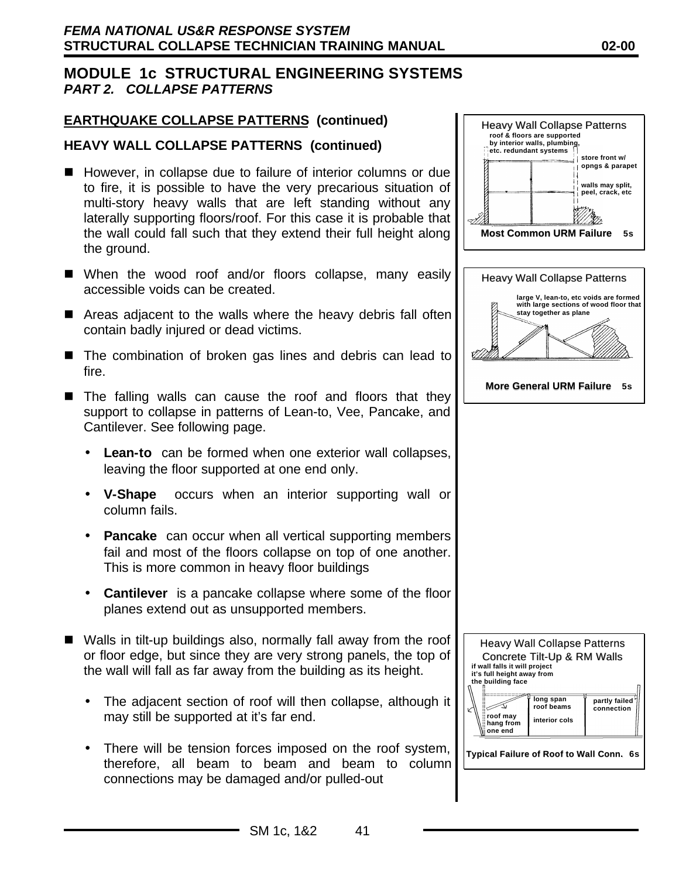## **EARTHQUAKE COLLAPSE PATTERNS (continued)**

#### **HEAVY WALL COLLAPSE PATTERNS (continued)**

- However, in collapse due to failure of interior columns or due to fire, it is possible to have the very precarious situation of multi-story heavy walls that are left standing without any laterally supporting floors/roof. For this case it is probable that the wall could fall such that they extend their full height along the ground.
- When the wood roof and/or floors collapse, many easily accessible voids can be created.
- $\blacksquare$  Areas adjacent to the walls where the heavy debris fall often contain badly injured or dead victims.
- $\blacksquare$  The combination of broken gas lines and debris can lead to fire.
- $\blacksquare$  The falling walls can cause the roof and floors that they support to collapse in patterns of Lean-to, Vee, Pancake, and Cantilever. See following page.
	- **Lean-to** can be formed when one exterior wall collapses, leaving the floor supported at one end only.
	- **V-Shape** occurs when an interior supporting wall or column fails.
	- **Pancake** can occur when all vertical supporting members fail and most of the floors collapse on top of one another. This is more common in heavy floor buildings
	- **Cantilever** is a pancake collapse where some of the floor planes extend out as unsupported members.
- $\blacksquare$  Walls in tilt-up buildings also, normally fall away from the roof or floor edge, but since they are very strong panels, the top of the wall will fall as far away from the building as its height.
	- The adjacent section of roof will then collapse, although it may still be supported at it's far end.
	- There will be tension forces imposed on the roof system, therefore, all beam to beam and beam to column connections may be damaged and/or pulled-out



**Typical Failure of Roof to Wall Conn.. 6s**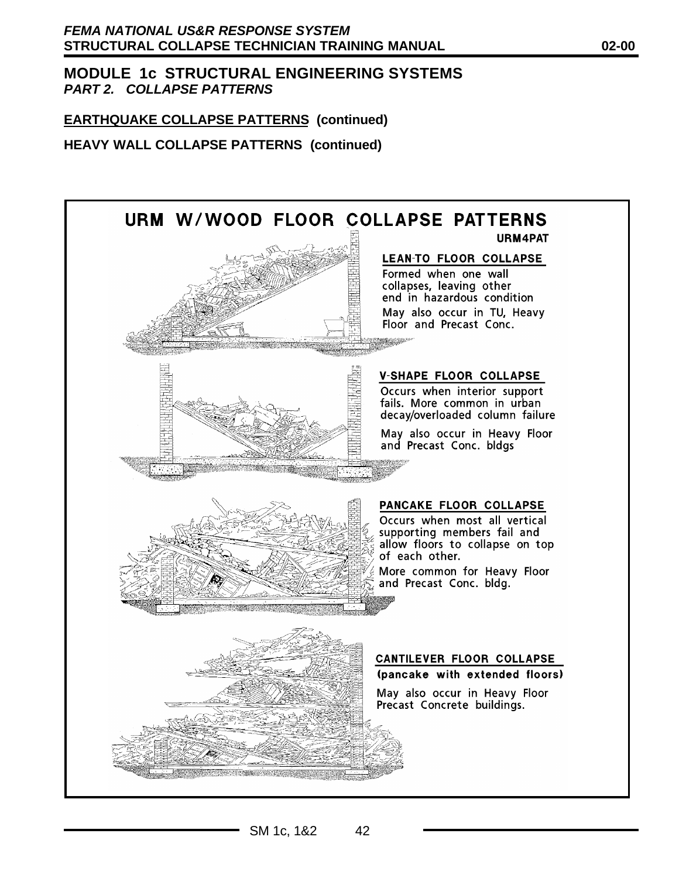# **EARTHQUAKE COLLAPSE PATTERNS (continued)**

**HEAVY WALL COLLAPSE PATTERNS (continued)**



SM 1c, 1&2 42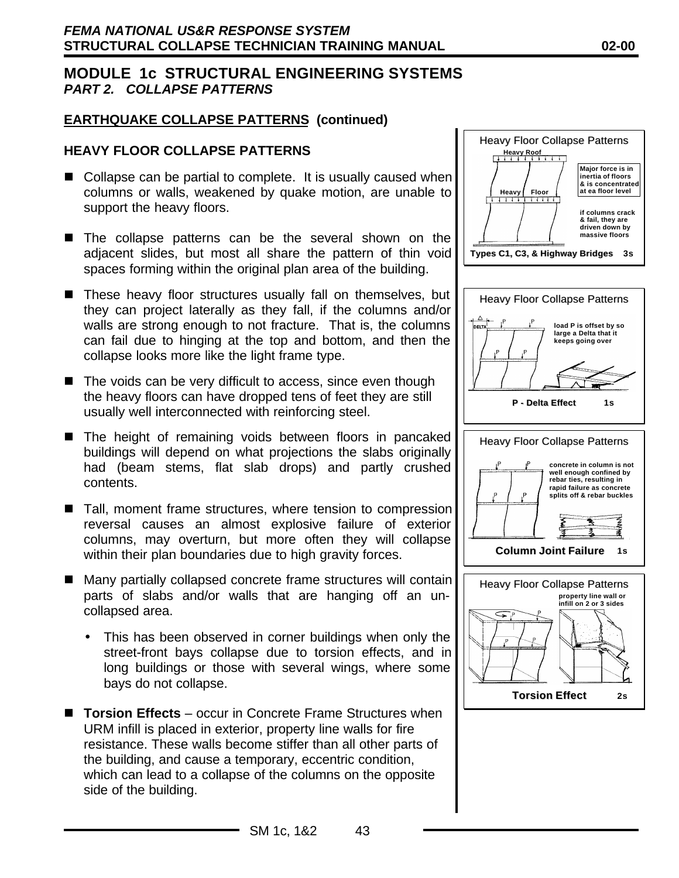## **EARTHQUAKE COLLAPSE PATTERNS (continued)**

## **HEAVY FLOOR COLLAPSE PATTERNS**

- $\blacksquare$  Collapse can be partial to complete. It is usually caused when columns or walls, weakened by quake motion, are unable to support the heavy floors.
- The collapse patterns can be the several shown on the adjacent slides, but most all share the pattern of thin void spaces forming within the original plan area of the building.
- These heavy floor structures usually fall on themselves, but they can project laterally as they fall, if the columns and/or walls are strong enough to not fracture. That is, the columns can fail due to hinging at the top and bottom, and then the collapse looks more like the light frame type.
- $\blacksquare$  The voids can be very difficult to access, since even though the heavy floors can have dropped tens of feet they are still usually well interconnected with reinforcing steel.
- The height of remaining voids between floors in pancaked buildings will depend on what projections the slabs originally had (beam stems, flat slab drops) and partly crushed contents.
- $\blacksquare$  Tall, moment frame structures, where tension to compression reversal causes an almost explosive failure of exterior columns, may overturn, but more often they will collapse within their plan boundaries due to high gravity forces.
- $\blacksquare$  Many partially collapsed concrete frame structures will contain parts of slabs and/or walls that are hanging off an uncollapsed area.
	- This has been observed in corner buildings when only the street-front bays collapse due to torsion effects, and in long buildings or those with several wings, where some bays do not collapse.
- **Torsion Effects** occur in Concrete Frame Structures when URM infill is placed in exterior, property line walls for fire resistance. These walls become stiffer than all other parts of the building, and cause a temporary, eccentric condition, which can lead to a collapse of the columns on the opposite side of the building.



SM 1c, 1&2 43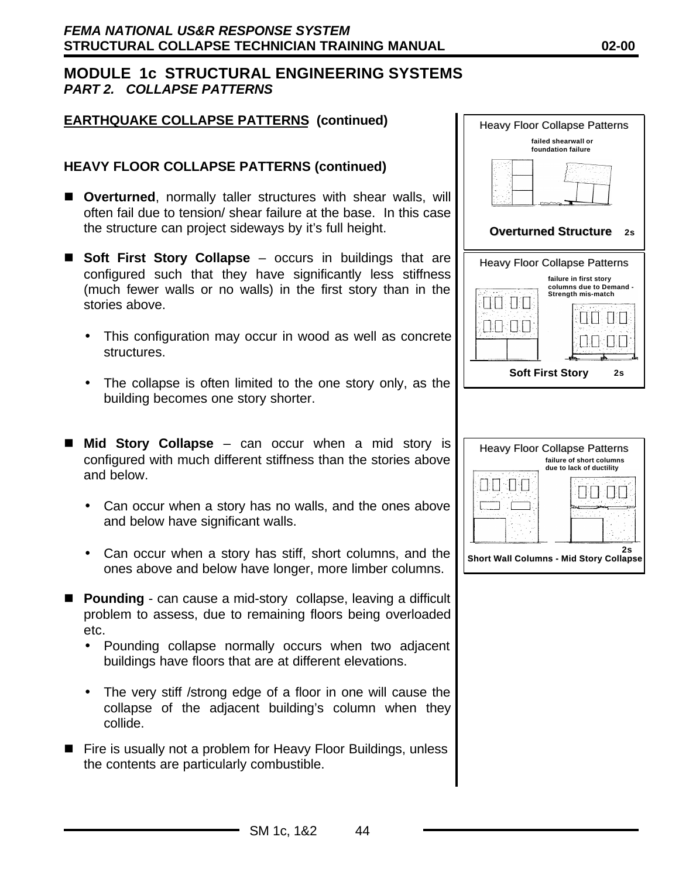#### **EARTHQUAKE COLLAPSE PATTERNS (continued)**

#### **HEAVY FLOOR COLLAPSE PATTERNS (continued)**

- **n** Overturned, normally taller structures with shear walls, will often fail due to tension/ shear failure at the base. In this case the structure can project sideways by it's full height.
- **Soft First Story Collapse** occurs in buildings that are configured such that they have significantly less stiffness (much fewer walls or no walls) in the first story than in the stories above.
	- This configuration may occur in wood as well as concrete structures.
	- The collapse is often limited to the one story only, as the building becomes one story shorter.
- Mid Story Collapse can occur when a mid story is configured with much different stiffness than the stories above and below.
	- Can occur when a story has no walls, and the ones above and below have significant walls.
	- Can occur when a story has stiff, short columns, and the ones above and below have longer, more limber columns.
- **Pounding** can cause a mid-story collapse, leaving a difficult problem to assess, due to remaining floors being overloaded etc.
	- Pounding collapse normally occurs when two adjacent buildings have floors that are at different elevations.
	- The very stiff / strong edge of a floor in one will cause the collapse of the adjacent building's column when they collide.
- Fire is usually not a problem for Heavy Floor Buildings, unless the contents are particularly combustible.

| <b>Heavy Floor Collapse Patterns</b>                                    |  |  |  |  |
|-------------------------------------------------------------------------|--|--|--|--|
| failed shearwall or<br>foundation failure                               |  |  |  |  |
|                                                                         |  |  |  |  |
|                                                                         |  |  |  |  |
| <b>Overturned Structure</b><br>2s                                       |  |  |  |  |
| <b>Heavy Floor Collapse Patterns</b>                                    |  |  |  |  |
| failure in first story<br>columns due to Demand -<br>Strength mis-match |  |  |  |  |
|                                                                         |  |  |  |  |
|                                                                         |  |  |  |  |
|                                                                         |  |  |  |  |
|                                                                         |  |  |  |  |
| <b>Soft First Story</b><br>2s                                           |  |  |  |  |
| <b>Heavy Floor Collapse Patterns</b>                                    |  |  |  |  |
| failure of short columns<br>due to lack of ductility                    |  |  |  |  |
|                                                                         |  |  |  |  |
| 2s<br><b>Short Wall Columns - Mid Story Collapse</b>                    |  |  |  |  |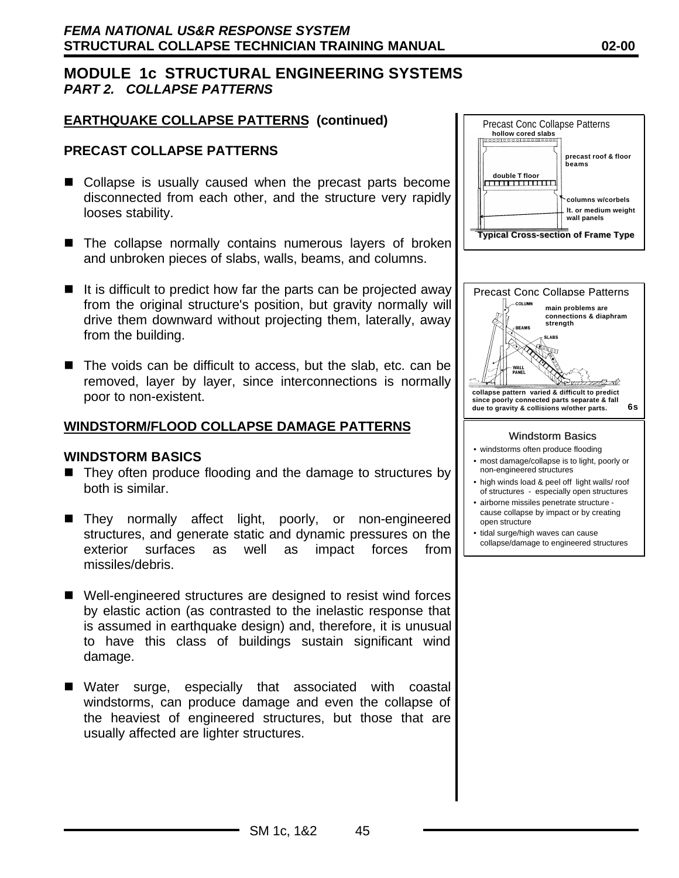## **EARTHQUAKE COLLAPSE PATTERNS (continued)**

#### **PRECAST COLLAPSE PATTERNS**

- Collapse is usually caused when the precast parts become disconnected from each other, and the structure very rapidly looses stability.
- $\blacksquare$  The collapse normally contains numerous layers of broken and unbroken pieces of slabs, walls, beams, and columns.
- $\blacksquare$  It is difficult to predict how far the parts can be projected away from the original structure's position, but gravity normally will drive them downward without projecting them, laterally, away from the building.
- $\blacksquare$  The voids can be difficult to access, but the slab, etc. can be removed, layer by layer, since interconnections is normally poor to non-existent.

#### **WINDSTORM/FLOOD COLLAPSE DAMAGE PATTERNS**

#### **WINDSTORM BASICS**

- $\blacksquare$  They often produce flooding and the damage to structures by both is similar.
- They normally affect light, poorly, or non-engineered structures, and generate static and dynamic pressures on the exterior surfaces as well as impact forces from missiles/debris.
- $\blacksquare$  Well-engineered structures are designed to resist wind forces by elastic action (as contrasted to the inelastic response that is assumed in earthquake design) and, therefore, it is unusual to have this class of buildings sustain significant wind damage.
- Water surge, especially that associated with coastal windstorms, can produce damage and even the collapse of the heaviest of engineered structures, but those that are usually affected are lighter structures.

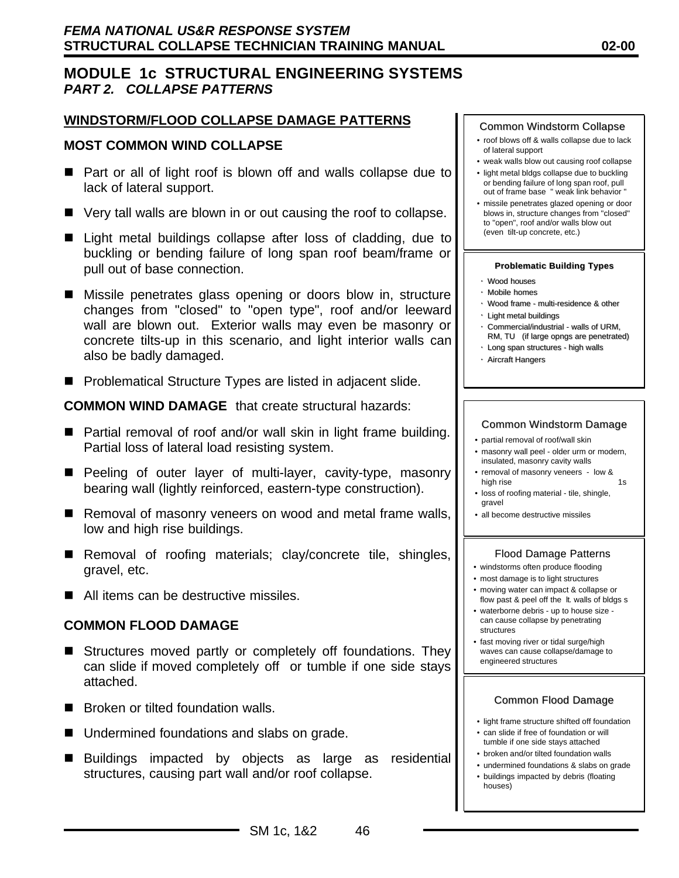#### **WINDSTORM/FLOOD COLLAPSE DAMAGE PATTERNS**

#### **MOST COMMON WIND COLLAPSE**

- Part or all of light roof is blown off and walls collapse due to lack of lateral support.
- $\blacksquare$  Very tall walls are blown in or out causing the roof to collapse.
- Light metal buildings collapse after loss of cladding, due to buckling or bending failure of long span roof beam/frame or pull out of base connection.
- Missile penetrates glass opening or doors blow in, structure changes from "closed" to "open type", roof and/or leeward wall are blown out. Exterior walls may even be masonry or concrete tilts-up in this scenario, and light interior walls can also be badly damaged.
- Problematical Structure Types are listed in adjacent slide.

**COMMON WIND DAMAGE** that create structural hazards:

- Partial removal of roof and/or wall skin in light frame building. Partial loss of lateral load resisting system.
- Peeling of outer layer of multi-layer, cavity-type, masonry bearing wall (lightly reinforced, eastern-type construction).
- Removal of masonry veneers on wood and metal frame walls, low and high rise buildings.
- Removal of roofing materials; clay/concrete tile, shingles, gravel, etc.
- $\blacksquare$  All items can be destructive missiles.

#### **COMMON FLOOD DAMAGE**

- Structures moved partly or completely off foundations. They can slide if moved completely off or tumble if one side stays attached.
- Broken or tilted foundation walls.
- $\blacksquare$  Undermined foundations and slabs on grade.
- Buildings impacted by objects as large as residential structures, causing part wall and/or roof collapse.

#### Common Windstorm Collapse

- roof blows off & walls collapse due to lack of lateral support
- weak walls blow out causing roof collapse
- light metal bldgs collapse due to buckling or bending failure of long span roof, pull out of frame base " weak link behavior "
- missile penetrates glazed opening or door blows in, structure changes from "closed" to "open", roof and/or walls blow out (even tilt-up concrete, etc.)

#### **Problematic Building Types**

- Wood houses
- Mobile homes
- Wood frame multi-residence & other
- Light metal buildings
- Commercial/industrial walls of URM, RM, TU (if large opngs are penetrated)
- Long span structures high walls • Aircraft Hangers

#### Common Windstorm Damage

- partial removal of roof/wall skin
- masonry wall peel older urm or modern, insulated, masonry cavity walls
- removal of masonry veneers low & high rise 1s
- loss of roofing material tile, shingle, gravel
- all become destructive missiles

#### Flood Damage Patterns

- windstorms often produce flooding
- most damage is to light structures
- moving water can impact & collapse or flow past & peel off the lt. walls of bldgs s
- waterborne debris up to house size can cause collapse by penetrating structures
- fast moving river or tidal surge/high waves can cause collapse/damage to engineered structures

#### Common Flood Damage

- light frame structure shifted off foundation
- can slide if free of foundation or will tumble if one side stays attached
- broken and/or tilted foundation walls
- undermined foundations & slabs on grade • buildings impacted by debris (floating houses)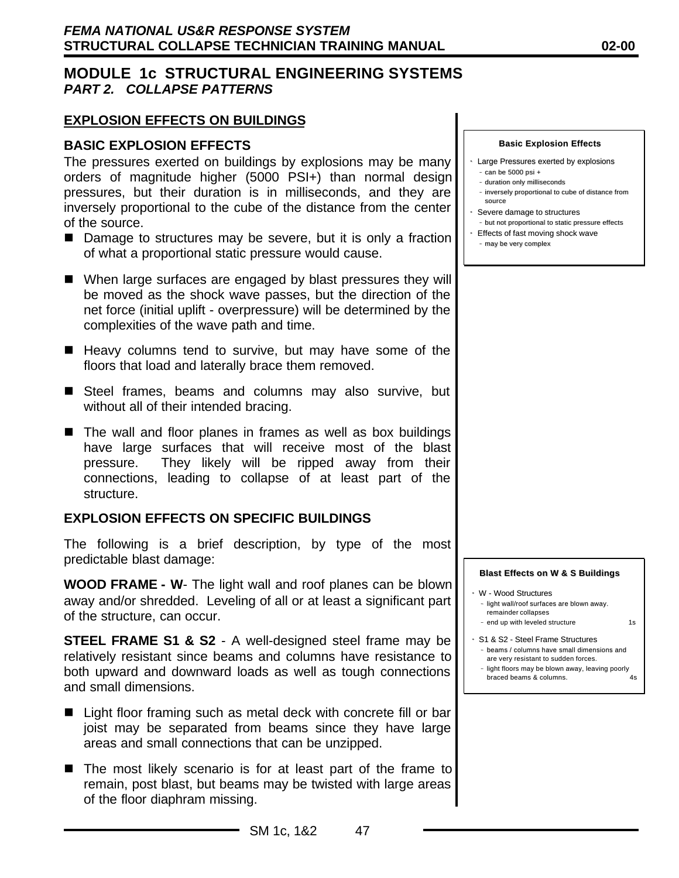#### **EXPLOSION EFFECTS ON BUILDINGS**

#### **BASIC EXPLOSION EFFECTS**

The pressures exerted on buildings by explosions may be many orders of magnitude higher (5000 PSI+) than normal design pressures, but their duration is in milliseconds, and they are inversely proportional to the cube of the distance from the center of the source.

- $\blacksquare$  Damage to structures may be severe, but it is only a fraction of what a proportional static pressure would cause.
- When large surfaces are engaged by blast pressures they will be moved as the shock wave passes, but the direction of the net force (initial uplift - overpressure) will be determined by the complexities of the wave path and time.
- $\blacksquare$  Heavy columns tend to survive, but may have some of the floors that load and laterally brace them removed.
- Steel frames, beams and columns may also survive, but without all of their intended bracing.
- $\blacksquare$  The wall and floor planes in frames as well as box buildings have large surfaces that will receive most of the blast pressure. They likely will be ripped away from their connections, leading to collapse of at least part of the structure.

#### **EXPLOSION EFFECTS ON SPECIFIC BUILDINGS**

The following is a brief description, by type of the most predictable blast damage:

**WOOD FRAME - W**- The light wall and roof planes can be blown away and/or shredded. Leveling of all or at least a significant part of the structure, can occur.

**STEEL FRAME S1 & S2** - A well-designed steel frame may be relatively resistant since beams and columns have resistance to both upward and downward loads as well as tough connections and small dimensions.

- $\blacksquare$  Light floor framing such as metal deck with concrete fill or bar joist may be separated from beams since they have large areas and small connections that can be unzipped.
- $\blacksquare$  The most likely scenario is for at least part of the frame to remain, post blast, but beams may be twisted with large areas of the floor diaphram missing.

 **Basic Explosion Effects**

- Large Pressures exerted by explosions – can be 5000 psi +
- duration only milliseconds
- inversely proportional to cube of distance from source
- Severe damage to structures
- but not proportional to static pressure effects
- Effects of fast moving shock wave –– may be very complex

 **Blast Effects on W & S Buildings**

- W Wood Structures –– light wall/roof surfaces are blown away. remainder collapses - end up with leveled structure 1s
- S1 & S2 Steel Frame Structures
- –– beams / columns have small dimensions and are very resistant to sudden forces.
- light floors may be blown away, leaving poorly braced beams & columns. 4s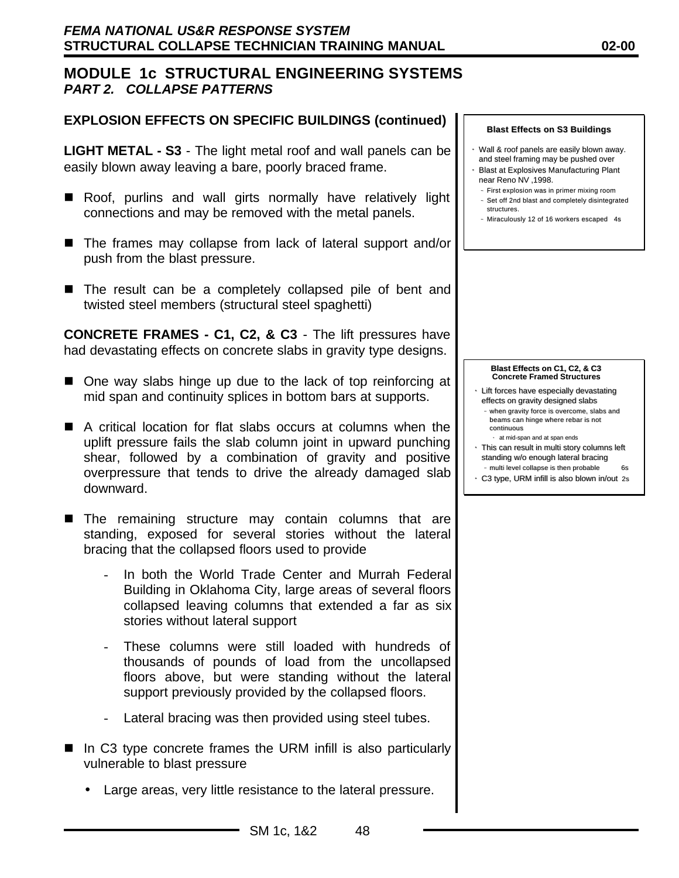## **EXPLOSION EFFECTS ON SPECIFIC BUILDINGS (continued)**

**LIGHT METAL - S3** - The light metal roof and wall panels can be easily blown away leaving a bare, poorly braced frame.

- Roof, purlins and wall girts normally have relatively light connections and may be removed with the metal panels.
- The frames may collapse from lack of lateral support and/or push from the blast pressure.
- $\blacksquare$  The result can be a completely collapsed pile of bent and twisted steel members (structural steel spaghetti)

**CONCRETE FRAMES - C1, C2, & C3** - The lift pressures have had devastating effects on concrete slabs in gravity type designs.

- One way slabs hinge up due to the lack of top reinforcing at mid span and continuity splices in bottom bars at supports.
- $\blacksquare$  A critical location for flat slabs occurs at columns when the uplift pressure fails the slab column joint in upward punching shear, followed by a combination of gravity and positive overpressure that tends to drive the already damaged slab downward.
- **n** The remaining structure may contain columns that are standing, exposed for several stories without the lateral bracing that the collapsed floors used to provide
	- In both the World Trade Center and Murrah Federal Building in Oklahoma City, large areas of several floors collapsed leaving columns that extended a far as six stories without lateral support
	- These columns were still loaded with hundreds of thousands of pounds of load from the uncollapsed floors above, but were standing without the lateral support previously provided by the collapsed floors.
	- Lateral bracing was then provided using steel tubes.
- $\blacksquare$  In C3 type concrete frames the URM infill is also particularly vulnerable to blast pressure
	- Large areas, very little resistance to the lateral pressure.

#### **Blast Effects on S3 Buildings**

- Wall & roof panels are easily blown away. and steel framing may be pushed over
- Blast at Explosives Manufacturing Plant near Reno NV ,1998.
- –– First explosion was in primer mixing room –– Set off 2nd blast and completely disintegrated structures.
- –– Miraculously 12 of 16 workers escaped 4s



- Lift forces have especially devastating effects on gravity designed slabs
	- when gravity force is overcome, slabs and beams can hinge where rebar is not continuous •• at mid-span and at span ends
- This can result in multi story columns left standing w/o enough lateral bracing - multi level collapse is then probable
- C3 type, URM infill is also blown in/out 2s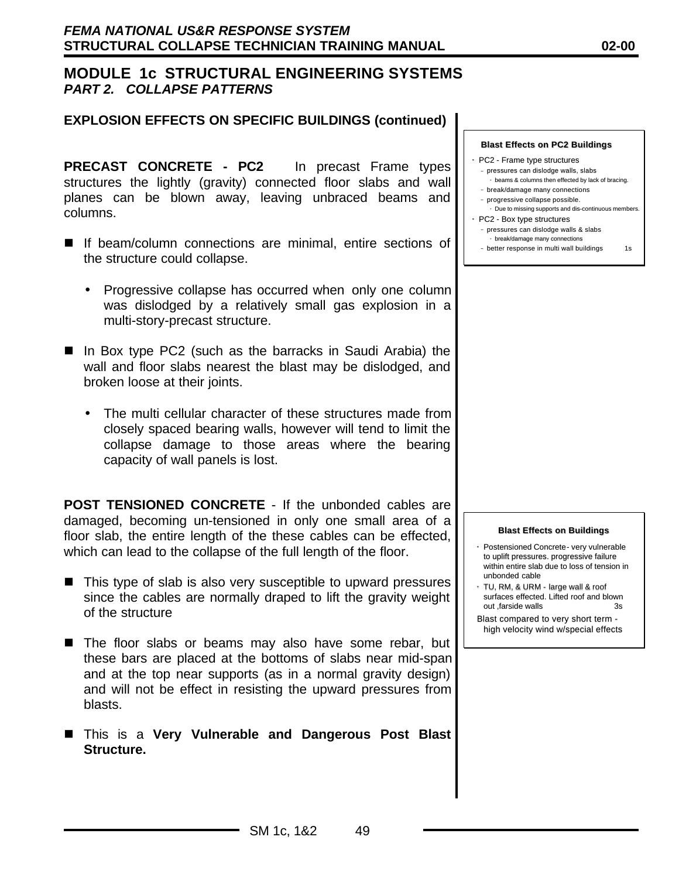#### **EXPLOSION EFFECTS ON SPECIFIC BUILDINGS (continued)**

**PRECAST CONCRETE - PC2** In precast Frame types structures the lightly (gravity) connected floor slabs and wall planes can be blown away, leaving unbraced beams and columns.

- If beam/column connections are minimal, entire sections of the structure could collapse.
	- Progressive collapse has occurred when only one column was dislodged by a relatively small gas explosion in a multi-story-precast structure.
- In Box type PC2 (such as the barracks in Saudi Arabia) the wall and floor slabs nearest the blast may be dislodged, and broken loose at their joints.
	- The multi cellular character of these structures made from closely spaced bearing walls, however will tend to limit the collapse damage to those areas where the bearing capacity of wall panels is lost.

**POST TENSIONED CONCRETE** - If the unbonded cables are damaged, becoming un-tensioned in only one small area of a floor slab, the entire length of the these cables can be effected, which can lead to the collapse of the full length of the floor.

- This type of slab is also very susceptible to upward pressures since the cables are normally draped to lift the gravity weight of the structure
- The floor slabs or beams may also have some rebar, but these bars are placed at the bottoms of slabs near mid-span and at the top near supports (as in a normal gravity design) and will not be effect in resisting the upward pressures from blasts.
- n This is a **Very Vulnerable and Dangerous Post Blast Structure.**

**Blast Effects on PC2 Buildings**

- PC2 Frame type structures
- pressures can dislodge walls, slabs • beams & columns then effected by lack of bracing.
- break/damage many connections
- progressive collapse possible.
- Due to missing supports and dis-continuous members. PC2 - Box type structures
- pressures can dislodge walls & slabs
- •• break/damage many connections
- –– better response in multi wall buildings 1s

#### **Blast Effects on Buildings**

- Postensioned Concrete- very vulnerable to uplift pressures. progressive failure within entire slab due to loss of tension in unbonded cable
- TU, RM, & URM large wall & roof surfaces effected. Lifted roof and blown out farside walls 3s
- Blast compared to very short term high velocity wind w/special effects